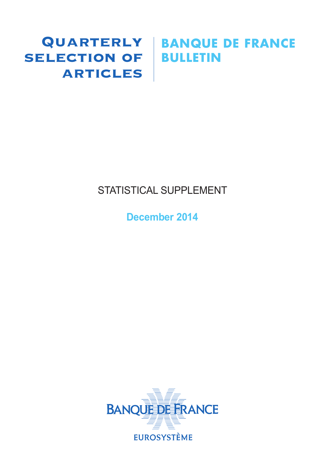# SELECTION OF BULLETIN **ARTICLES**

# Quarterly **BANQUE DE FRANCE**

# STATISTICAL SUPPLEMENT

**December 2014**

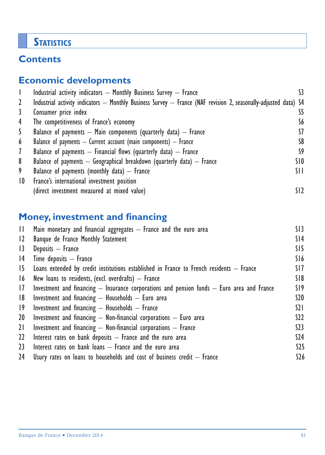# **STATISTICS**

# **Contents**

# **Economic developments**

|                 | Industrial activity indicators - Monthly Business Survey - France                                               |                 |
|-----------------|-----------------------------------------------------------------------------------------------------------------|-----------------|
| 2               | Industrial activity indicators — Monthly Business Survey — France (NAF revision 2, seasonally-adjusted data) S4 |                 |
| 3               | Consumer price index                                                                                            | S5              |
| 4               | The competitiveness of France's economy                                                                         | S6              |
| 5               | Balance of payments $-$ Main components (quarterly data) $-$ France                                             | 57              |
| 6               | Balance of payments $-$ Current account (main components) $-$ France                                            | S8              |
| $\mathcal{I}$   | Balance of payments $-$ Financial flows (quarterly data) $-$ France                                             | S9              |
| 8               | Balance of payments $-$ Geographical breakdown (quarterly data) $-$ France                                      | SIO             |
| 9               | Balance of payments (monthly data) $-$ France                                                                   | SH.             |
| $\overline{10}$ | France's international investment position                                                                      |                 |
|                 | (direct investment measured at mixed value)                                                                     | SI <sub>2</sub> |

# **Money, investment and financing**

| $\mathbf{H}$ | Main monetary and financial aggregates $-$ France and the euro area                            | SI3             |
|--------------|------------------------------------------------------------------------------------------------|-----------------|
| 12           | Banque de France Monthly Statement                                                             | S <sub>14</sub> |
| 13           | Deposits - France                                                                              | SI5             |
| 4            | $Time$ deposits $-$ France                                                                     | S16             |
| 15           | Loans extended by credit institutions established in France to French residents $-$ France     | SI7             |
| 16           | New loans to residents, (excl. overdrafts) $-$ France                                          | S18             |
| 17           | Investment and financing $-$ Insurance corporations and pension funds $-$ Euro area and France | S19             |
| 8            | Investment and financing $-$ Households $-$ Euro area                                          | \$20            |
| $ 9\rangle$  | Investment and financing $-$ Households $-$ France                                             | $\Omega$        |
| 20           | Investment and financing $-$ Non-financial corporations $-$ Euro area                          | S <sub>2</sub>  |
| 21           | Investment and financing $-$ Non-financial corporations $-$ France                             | 523             |
| 22           | Interest rates on bank deposits $-$ France and the euro area                                   | \$24            |
| 23           | Interest rates on bank loans $-$ France and the euro area                                      | \$25            |
| 24           | Usury rates on loans to households and cost of business credit $-$ France                      | \$26            |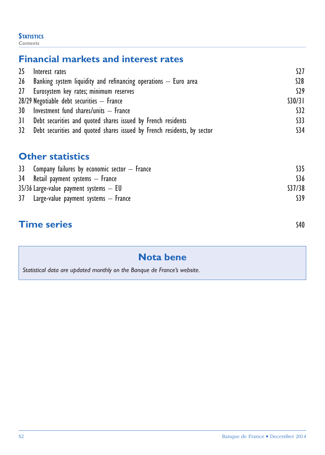#### **STATISTICS** *Contents*

# **Financial markets and interest rates**

| 25 Interest rates                                                          | S27     |
|----------------------------------------------------------------------------|---------|
| $26$ Banking system liquidity and refinancing operations $-$ Euro area     | $528$   |
| 27 Eurosystem key rates; minimum reserves                                  | S29     |
| $28/29$ Negotiable debt securities $-$ France                              | \$30/31 |
| 30 Investment fund shares/units - France                                   | \$32    |
| 31 Debt securities and quoted shares issued by French residents            | \$33    |
| 32 Debt securities and quoted shares issued by French residents, by sector | \$34    |

# **Other statistics**

| 33 Company failures by economic sector $-$ France | S35    |
|---------------------------------------------------|--------|
| 34 Retail payment systems – France                | S36    |
| $35/36$ Large-value payment systems $-$ EU        | S37/38 |
| $37$ Large-value payment systems $-$ France       |        |
|                                                   |        |

# **Time series** S40

# **Nota bene**

*Statistical data are updated monthly on the Banque de France's website.*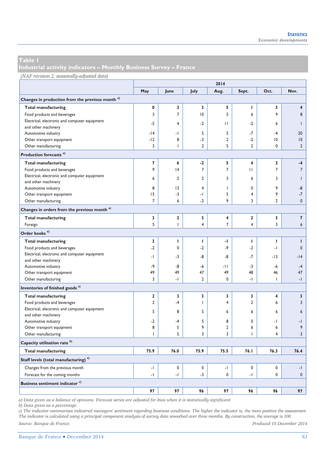**Industrial activity indicators – Monthly Business Survey – France** 

#### *(NAF revision 2; seasonally-adjusted data)*

|                                                             | 2014           |                |                |                          |                |                |                         |
|-------------------------------------------------------------|----------------|----------------|----------------|--------------------------|----------------|----------------|-------------------------|
|                                                             | May            | June           | July           | Aug.                     | Sept.          | Oct.           | Nov.                    |
| Changes in production from the previous month <sup>a)</sup> |                |                |                |                          |                |                |                         |
| <b>Total manufacturing</b>                                  | 0              | 3              | 3              | 5                        | I              | 3              | $\overline{\mathbf{4}}$ |
| Food products and beverages                                 | $\overline{3}$ | $\overline{7}$ | 10             | 5                        | 6              | 9              | 8                       |
| Electrical, electronic and computer equipment               |                |                |                |                          |                |                |                         |
| and other machinery                                         | $-5$           | 4              | $-2$           | $\mathbf{H}$             | $-2$           | 6              | ı                       |
| Automotive industry                                         | $-14$          | $\cdot$        | 5              | 5                        | $-7$           | $-4$           | 20                      |
| Other transport equipment                                   | $-12$          | 8              | $-3$           | $\overline{2}$           | $-2$           | 10             | $ 0\rangle$             |
| Other manufacturing                                         | 3              | 1              | $\overline{2}$ | 5                        | $\overline{2}$ | 0              | $\overline{2}$          |
| Production forecasts <sup>a)</sup>                          |                |                |                |                          |                |                |                         |
| <b>Total manufacturing</b>                                  | $\overline{7}$ | 6              | $-2$           | 5                        | 4              | 2              | $-4$                    |
| Food products and beverages                                 | 9              | 4              | $\overline{7}$ | $\overline{7}$           | П              | 7              | $\overline{7}$          |
| Electrical, electronic and computer equipment               | 6              | $\overline{2}$ | $\overline{2}$ | 3                        | 6              | 3              | 1                       |
| and other machinery                                         |                |                |                |                          |                |                |                         |
| Automotive industry                                         | 8              | 3              | 4              | $\overline{\phantom{a}}$ | $\mathbf 0$    | 9              | -8                      |
| Other transport equipment                                   | 15             | $-3$           | -1             | 5                        | 4              | 9              | $-7$                    |
| Other manufacturing                                         | $\overline{7}$ | 6              | $-2$           | 9                        | 3              | $\overline{2}$ | $\mathbf{0}$            |
| Changes in orders from the previous month <sup>a)</sup>     |                |                |                |                          |                |                |                         |
| <b>Total manufacturing</b>                                  | 3              | 2              | 3              | 4                        | 2              | 3              | 7                       |
| Foreign                                                     | 5              | $\mathbf{I}$   | 4              | $\overline{7}$           | 4              | 3              | 6                       |
| Order books <sup>a)</sup>                                   |                |                |                |                          |                |                |                         |
| <b>Total manufacturing</b>                                  | 3              | т              | T              | -1                       | I              | т              | Т                       |
| Food products and beverages                                 | $-2$           | 0              | $-2$           | $-9$                     | $-2$           | $\cdot$        | $\mathbf{0}$            |
| Electrical, electronic and computer equipment               | - 1            | $-3$           | -8             | -8                       | $-7$           | $-13$          | $-14$                   |
| and other machinery                                         |                |                |                |                          |                |                |                         |
| Automotive industry                                         | -9             | -8             | $-6$           | $-11$                    | $-3$           | $-6$           | $-4$                    |
| Other transport equipment                                   | 49             | 49             | 47             | 49                       | 48             | 46             | 47                      |
| Other manufacturing                                         | 3              | $-1$           | $\overline{2}$ | 0                        | $\cdot$        | T              | $-1$                    |
| Inventories of finished goods <sup>a)</sup>                 |                |                |                |                          |                |                |                         |
| <b>Total manufacturing</b>                                  | $\overline{a}$ | 3              | 3              | 3                        | 3              | 4              | 3                       |
| Food products and beverages                                 | $\overline{2}$ | $-4$           | $\mathsf{I}$   | $\overline{4}$           | 2              | 6              | 3                       |
| Electrical, electronic and computer equipment               | 5              | 8              | 5              | 6                        | 6              | 6              | 6                       |
| and other machinery                                         |                |                |                |                          |                |                |                         |
| Automotive industry                                         | $-2$           | -4             | 5              | 8                        | 0              | -1             | -1                      |
| Other transport equipment                                   | 8              | 5              | 9              | $\overline{2}$           | 6              | 6              | 9                       |
| Other manufacturing                                         | L              | 5              | 3              | $\overline{3}$           | T              | 4              | $\overline{3}$          |
| Capacity utilisation rate <sup>b)</sup>                     |                |                |                |                          |                |                |                         |
| <b>Total manufacturing</b>                                  | 75.9           | 76.0           | 75.9           | 75.5                     | 76.I           | 76.3           | 76.4                    |
| Staff levels (total manufacturing) <sup>a)</sup>            |                |                |                |                          |                |                |                         |
| Changes from the previous month                             | $-1$           | 0              | $\mathbf 0$    | -1                       | 0              | 0              | -1                      |
| Forecast for the coming months                              | $-1$           | $-1$           | $-3$           | 0                        | -1             | 0              | $\mathbf{0}$            |
| Business sentiment indicator <sup>c)</sup>                  |                |                |                |                          |                |                |                         |
|                                                             | 97             | 97             | 96             | 97                       | 96             | 96             | 97                      |

*a) Data given as a balance of opinions. Forecast series are adjusted for bias when it is statistically significant.* 

*b) Data given as a percentage.* 

*c) The indicator summarises industrial managers' sentiment regarding business conditions. The higher the indicator is, the more positive the assessment. The indicator is calculated using a principal component analysis of survey data smoothed over three months. By construction, the average is 100.*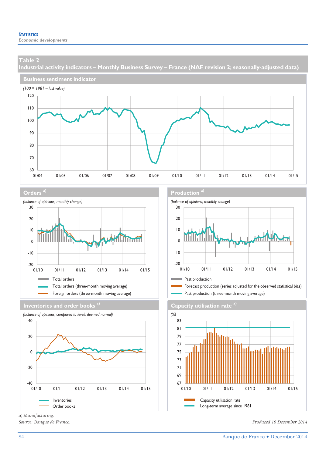**Industrial activity indicators – Monthly Business Survey – France (NAF revision 2; seasonally-adjusted data)** 











*a) Manufacturing.* 

#### **Orders a) Production a)**



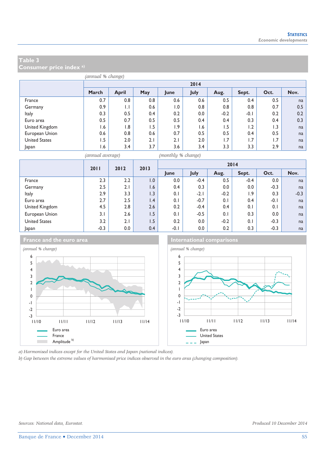**Consumer price index a)**

|                      | (annual % change) |              |     |                  |      |        |        |                  |      |  |  |
|----------------------|-------------------|--------------|-----|------------------|------|--------|--------|------------------|------|--|--|
|                      |                   | 2014         |     |                  |      |        |        |                  |      |  |  |
|                      | March             | <b>April</b> | May | June             | July | Aug.   | Sept.  | Oct.             | Nov. |  |  |
| France               | 0.7               | 0.8          | 0.8 | 0.6              | 0.6  | 0.5    | 0.4    | 0.5              | na   |  |  |
| Germany              | 0.9               | $\mathsf{L}$ | 0.6 | $\overline{0}$ . | 0.8  | 0.8    | 0.8    | 0.7              | 0.5  |  |  |
| Italy                | 0.3               | 0.5          | 0.4 | 0.2              | 0.0  | $-0.2$ | $-0.1$ | 0.2              | 0.2  |  |  |
| Euro area            | 0.5               | 0.7          | 0.5 | 0.5              | 0.4  | 0.4    | 0.3    | 0.4              | 0.3  |  |  |
| United Kingdom       | 1.6               | .8           | 1.5 | 1.9              | 1.6  | 1.5    | 1.2    | $\overline{1.3}$ | na   |  |  |
| European Union       | 0.6               | 0.8          | 0.6 | 0.7              | 0.5  | 0.5    | 0.4    | 0.5              | na   |  |  |
| <b>United States</b> | 1.5               | 2.0          | 2.1 | 2.1              | 2.0  | 1.7    | 1.7    | 1.7              | na   |  |  |
| Japan                | 6. ا              | 3.4          | 3.7 | 3.6              | 3.4  | 3.3    | 3.3    | 2.9              | na   |  |  |



*(annual average) (monthly % change)*

|                      |        |         | 2011<br>2012<br>2013 |        | 2014   |        |                  |        |        |  |
|----------------------|--------|---------|----------------------|--------|--------|--------|------------------|--------|--------|--|
|                      |        |         |                      | lune   | July   | Aug.   | Sept.            | Oct.   | Nov.   |  |
| France               | 2.3    | 2.2     | 0.1                  | 0.0    | $-0.4$ | 0.5    | $-0.4$           | 0.0    | na     |  |
| Germany              | 2.5    | 2.1     | 1.6                  | 0.4    | 0.3    | 0.0    | 0.0              | $-0.3$ | na     |  |
| Italy                | 2.9    | 3.3     | 1.3                  | 0.1    | $-2.1$ | $-0.2$ | $\overline{1.9}$ | 0.3    | $-0.3$ |  |
| Euro area            | 2.7    | $2.5\,$ | $\overline{1.4}$     | 0.1    | $-0.7$ | 0.1    | 0.4              | $-0.1$ | na     |  |
| United Kingdom       | 4.5    | 2.8     | 2.6                  | 0.2    | $-0.4$ | 0.4    | 0.1              | 0.1    | na     |  |
| European Union       | 3.1    | 2.6     | 1.5                  | 0.1    | $-0.5$ | 0.1    | 0.3              | 0.0    | na     |  |
| <b>United States</b> | 3.2    | 2.1     | 1.5                  | 0.2    | 0.0    | $-0.2$ | 0.1              | $-0.3$ | na     |  |
| Japan                | $-0.3$ | 0.0     | 0.4                  | $-0.1$ | 0.0    | 0.2    | 0.3              | $-0.3$ | na     |  |



**France and the euro area International comparisons** 



*a) Harmonised indices except for the United States and Japan (national indices).* 

*b) Gap between the extreme values of harmonised price indices observed in the euro area (changing composition).*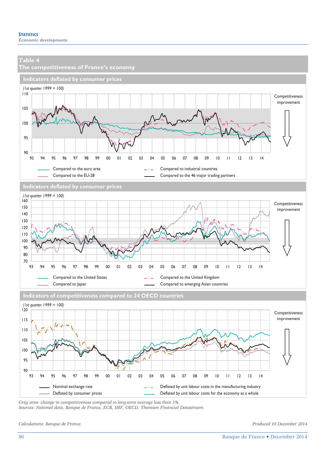

*Grey area: change in competitiveness compared to long-term average less than 5%. Sources: National data, Banque de France, ECB, IMF, OECD, Thomson Financial Datastream.* 

*Calculations: Banque de France. Produced 10 December 2014*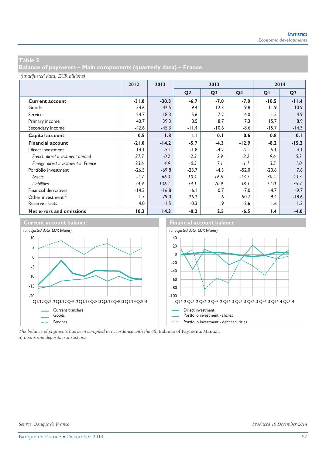**Balance of payments – Main components (quarterly data) – France** 

*(unadjusted data, EUR billions)*

|                                     | 2012    | 2013    | 2013           |                |                | 2014    |                |
|-------------------------------------|---------|---------|----------------|----------------|----------------|---------|----------------|
|                                     |         |         | Q <sub>2</sub> | Q <sub>3</sub> | Q <sub>4</sub> | QI      | Q <sub>2</sub> |
| <b>Current account</b>              | $-31.8$ | $-30.3$ | $-6.7$         | $-7.0$         | $-7.0$         | $-10.5$ | $-11.4$        |
| Goods                               | $-54.6$ | $-42.5$ | $-9.4$         | $-12.3$        | $-9.8$         | $-11.9$ | $-10.9$        |
| <b>Services</b>                     | 24.7    | 18.3    | 5.6            | 7.2            | 4.0            | 1.5     | 4.9            |
| Primary income                      | 40.7    | 39.3    | 8.5            | 8.7            | 7.3            | 15.7    | 8.9            |
| Secondary income                    | $-42.6$ | $-45.3$ | $-11.4$        | $-10.6$        | $-8.6$         | $-15.7$ | $-14.3$        |
| Capital account                     | 0.5     | 1.8     | 1.1            | 0.1            | 0.6            | 0.8     | 0.1            |
| <b>Financial account</b>            | $-21.0$ | $-14.2$ | $-5.7$         | $-4.3$         | $-12.9$        | $-8.2$  | $-15.2$        |
| Direct investment                   | 4.1     | $-5.1$  | $-1.8$         | $-4.2$         | $-2.1$         | 6.1     | 4.1            |
| French direct investment abroad     | 37.7    | $-0.2$  | $-2.3$         | 2.9            | $-3.2$         | 9.6     | 5.2            |
| Foreign direct investment in France | 23.6    | 4.9     | $-0.5$         | 7.1            | $-1.1$         | 3.5     | 1.0            |
| Portfolio investment                | $-26.5$ | $-69.8$ | $-23.7$        | $-4.3$         | $-52.0$        | $-20.6$ | 7.6            |
| Assets                              | $-1.7$  | 66.3    | 10.4           | 16.6           | $-13.7$        | 30.4    | 43.3           |
| <b>Liabilities</b>                  | 24.9    | 136.1   | 34.1           | 20.9           | 38.3           | 51.0    | 35.7           |
| Financial derivatives               | $-14.3$ | $-16.8$ | $-6.1$         | 0.7            | $-7.0$         | $-4.7$  | $-9.7$         |
| Other investment <sup>a)</sup>      | 1.7     | 79.0    | 26.2           | 1.6            | 50.7           | 9.4     | $-18.6$        |
| Reserve assets                      | 4.0     | $-1.5$  | $-0.3$         | 1.9            | $-2.6$         | 1.6     | 1.3            |
| Net errors and omissions            | 10.3    | 14.3    | $-0.2$         | 2.5            | $-6.5$         | 1.4     | $-4.0$         |



*The balance of payments has been compiled in accordance with the 6th* Balance of Payments Manual*. a) Loans and deposits transactions.*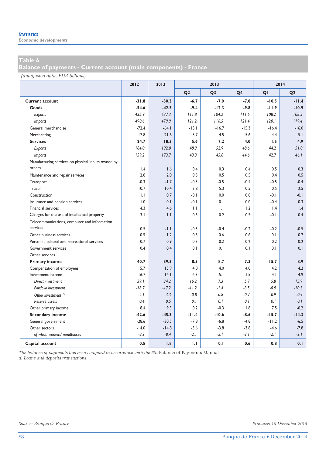*Economic developments* 

**Balance of payments - Current account (main components) - France** 

*(unadjusted data, EUR billions)*

|                                                    | 2012    | 2013    | 2013           |                |                | 2014    |                |  |
|----------------------------------------------------|---------|---------|----------------|----------------|----------------|---------|----------------|--|
|                                                    |         |         | Q <sub>2</sub> | Q <sub>3</sub> | Q <sub>4</sub> | QI      | Q <sub>2</sub> |  |
| <b>Current account</b>                             | $-31.8$ | $-30.3$ | $-6.7$         | $-7.0$         | $-7.0$         | $-10.5$ | $-11.4$        |  |
| Goods                                              | $-54.6$ | $-42.5$ | $-9.4$         | $-12.3$        | $-9.8$         | $-11.9$ | $-10.9$        |  |
| Exports                                            | 435.9   | 437.3   | 111.8          | 104.2          | 111.6          | 108.2   | 108.5          |  |
| <i>Imports</i>                                     | 490.6   | 479.9   | 121.2          | 116.5          | 121.4          | 120.1   | 119.4          |  |
| General merchandise                                | $-72.4$ | $-64.1$ | $-15.1$        | $-16.7$        | $-15.3$        | $-16.4$ | $-16.0$        |  |
| Merchanting                                        | 17.8    | 21.6    | 5.7            | 4.5            | 5.6            | 4.4     | 5.1            |  |
| <b>Services</b>                                    | 24.7    | 18.3    | 5.6            | 7.2            | 4.0            | 1.5     | 4.9            |  |
| Exports                                            | 184.0   | 192.0   | 48.9           | 52.9           | 48.6           | 44.2    | 51.0           |  |
| <i>Imports</i>                                     | 159.2   | 173.7   | 43.3           | 45.8           | 44.6           | 42.7    | 46.1           |  |
| Manufacturing services on physical inputs owned by |         |         |                |                |                |         |                |  |
| others                                             | 1.4     | 1.6     | 0.4            | 0.3            | 0.4            | 0.5     | 0.3            |  |
| Maintenance and repair services                    | 2.8     | 2.0     | 0.5            | 0.5            | 0.5            | 0.4     | 0.5            |  |
| Transport                                          | $-0.3$  | $-1.7$  | $-0.3$         | $-0.5$         | $-0.4$         | $-0.5$  | $-0.4$         |  |
| Travel                                             | 10.7    | 10.4    | 3.8            | 5.3            | 0.5            | 0.5     | 2.5            |  |
| Construction                                       | 1.1     | 0.7     | $-0.1$         | 0.0            | 0.8            | $-0.1$  | $-0.1$         |  |
| Insurance and pension services                     | 1.0     | 0.1     | $-0.1$         | 0.1            | 0.0            | $-0.4$  | 0.3            |  |
| Financial services                                 | 4.3     | 4.6     | 1.1            | $\mathsf{L}$   | 1.2            | 1.4     | 1.4            |  |
| Charges for the use of intellectual property       | 3.1     | 1.1     | 0.3            | 0.2            | 0.5            | $-0.1$  | 0.4            |  |
| Telecommunications, computer and information       |         |         |                |                |                |         |                |  |
| services                                           | 0.5     | $-1.1$  | $-0.3$         | $-0.4$         | $-0.2$         | $-0.2$  | $-0.5$         |  |
| Other business services                            | 0.5     | 1.2     | 0.3            | 0.6            | 0.6            | 0.1     | 0.7            |  |
| Personal, cultural and recreational services       | $-0.7$  | $-0.9$  | $-0.3$         | $-0.2$         | $-0.2$         | $-0.2$  | $-0.2$         |  |
| Government services                                | 0.4     | 0.4     | 0.1            | 0.1            | 0.1            | 0.1     | 0.1            |  |
| Other services                                     |         |         |                |                |                |         |                |  |
| <b>Primary income</b>                              | 40.7    | 39.3    | 8.5            | 8.7            | 7.3            | 15.7    | 8.9            |  |
| Compensation of employees                          | 15.7    | 15.9    | 4.0            | 4.0            | 4.0            | 4.2     | 4.2            |  |
| Investment income                                  | 16.7    | 4.1     | 4.3            | 5.1            | 1.5            | 4.1     | 4.9            |  |
| Direct investment                                  | 39.1    | 34.2    | 16.2           | 7.3            | 5.7            | 5.8     | 15.9           |  |
| Portfolio investment                               | $-18.7$ | $-17.2$ | $-11.2$        | $-1.4$         | $-3.5$         | $-0.9$  | $-10.3$        |  |
| Other investment <sup>a)</sup>                     | $-4.1$  | $-3.3$  | $-0.8$         | $-0.8$         | $-0.7$         | $-0.9$  | $-0.9$         |  |
| Reserve assets                                     | 0.4     | 0.5     | 0.1            | 0.1            | 0.1            | 0.1     | 0.1            |  |
| Other primary income                               | 8.4     | 9.3     | 0.2            | $-0.3$         | 1.8            | 7.5     | $-0.2$         |  |
| <b>Secondary income</b>                            | $-42.6$ | $-45.3$ | $-11.4$        | $-10.6$        | $-8.6$         | $-15.7$ | $-14.3$        |  |
| General government                                 | $-28.6$ | $-30.5$ | $-7.8$         | $-6.8$         | $-4.8$         | $-11.2$ | $-6.5$         |  |
| Other sectors                                      | $-14.0$ | $-14.8$ | $-3.6$         | $-3.8$         | $-3.8$         | $-4.6$  | $-7.8$         |  |
| of which workers' remittances                      | $-8.2$  | $-8.4$  | $-2.1$         | $-2.1$         | $-2.1$         | $-2.1$  | $-2.1$         |  |
| Capital account                                    | 0.5     | 1.8     | 1.1            | 0.1            | 0.6            | 0.8     | 0.1            |  |

*The balance of payments has been compiled in accordance with the 6th* Balance of Payments Manual*. a) Loans and deposits transactions.*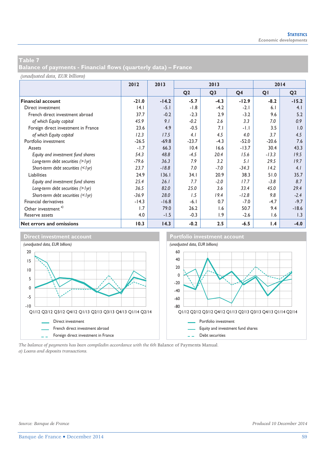**Balance of payments - Financial flows (quarterly data) – France** 

#### *(unadjusted data, EUR billions)*

|                                     | 2012    | 2013    | 2013           |                |                | 2014    |                |  |
|-------------------------------------|---------|---------|----------------|----------------|----------------|---------|----------------|--|
|                                     |         |         | Q <sub>2</sub> | Q <sub>3</sub> | Q <sub>4</sub> | QI      | Q <sub>2</sub> |  |
| <b>Financial account</b>            | $-21.0$ | $-14.2$ | $-5.7$         | $-4.3$         | $-12.9$        | $-8.2$  | $-15.2$        |  |
| Direct investment                   | 4.1     | $-5.1$  | $-1.8$         | $-4.2$         | $-2.1$         | 6.1     | 4.1            |  |
| French direct investment abroad     | 37.7    | $-0.2$  | $-2.3$         | 2.9            | $-3.2$         | 9.6     | 5.2            |  |
| of which Equity capital             | 45.9    | 9.1     | $-0.2$         | 2.6            | 3.3            | 7.0     | 0.9            |  |
| Foreign direct investment in France | 23.6    | 4.9     | $-0.5$         | 7.1            | $-1.1$         | 3.5     | 1.0            |  |
| of which Equity capital             | 12.3    | 17.5    | 4.1            | 4.5            | 4.0            | 3.7     | 4.5            |  |
| Portfolio investment                | $-26.5$ | $-69.8$ | $-23.7$        | $-4.3$         | $-52.0$        | $-20.6$ | 7.6            |  |
| Assets                              | $-1.7$  | 66.3    | 10.4           | 16.6           | $-13.7$        | 30.4    | 43.3           |  |
| Equity and investment fund shares   | 54.3    | 48.8    | $-4.5$         | 20.4           | 15.6           | $-13.3$ | 19.5           |  |
| Long-term debt securities (> lyr)   | $-79.6$ | 36.3    | 7.9            | 3.2            | 5.1            | 29.5    | 19.7           |  |
| Short-term debt securities (<1yr)   | 23.7    | $-18.8$ | 7.0            | $-7.0$         | $-34.3$        | 14.2    | 4.1            |  |
| Liabilities                         | 24.9    | 136.1   | 34.1           | 20.9           | 38.3           | 51.0    | 35.7           |  |
| Equity and investment fund shares   | 25.4    | 26.1    | 7.7            | $-2.0$         | 17.7           | $-3.8$  | 8.7            |  |
| Long-term debt securities (> lyr)   | 36.5    | 82.0    | 25.0           | 3.6            | 33.4           | 45.0    | 29.4           |  |
| Short-term debt securities (<1yr)   | $-36.9$ | 28.0    | 1.5            | 19.4           | $-12.8$        | 9.8     | $-2.4$         |  |
| Financial derivatives               | $-14.3$ | $-16.8$ | $-6.1$         | 0.7            | $-7.0$         | $-4.7$  | $-9.7$         |  |
| Other investment <sup>a)</sup>      | 1.7     | 79.0    | 26.2           | 1.6            | 50.7           | 9.4     | $-18.6$        |  |
| Reserve assets                      | 4.0     | $-1.5$  | $-0.3$         | 1.9            | $-2.6$         | 1.6     | 1.3            |  |
| Net errors and omissions            | 10.3    | 14.3    | $-0.2$         | 2.5            | $-6.5$         | 1.4     | $-4.0$         |  |



*The balance of payments has been compiledin accordance with the 6th* Balance of Payments Manual*. a) Loans and deposits transactions.*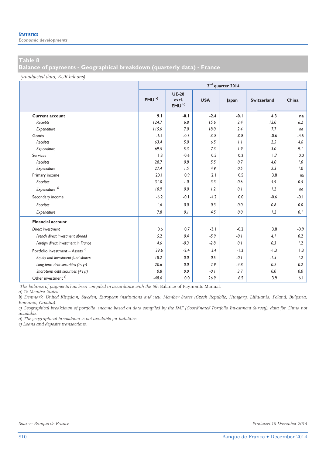**Balance of payments - Geographical breakdown (quarterly data) - France** 

*(unadjusted data, EUR billions)*

|                                             |                  | $2nd$ quarter 2014                         |            |        |                    |        |  |  |  |  |
|---------------------------------------------|------------------|--------------------------------------------|------------|--------|--------------------|--------|--|--|--|--|
|                                             | EMU <sup>a</sup> | <b>UE-28</b><br>excl.<br>EMU <sup>b)</sup> | <b>USA</b> | Japan  | <b>Switzerland</b> | China  |  |  |  |  |
| <b>Current account</b>                      | 9.1              | $-0.1$                                     | $-2.4$     | $-0.1$ | 4.3                | na     |  |  |  |  |
| Receipts                                    | 124.7            | 6.8                                        | 15.6       | 2.4    | 12.0               | 6.2    |  |  |  |  |
| Expenditure                                 | 115.6            | 7.0                                        | 18.0       | 2.4    | 7.7                | na     |  |  |  |  |
| Goods                                       | $-6.1$           | $-0.3$                                     | $-0.8$     | $-0.8$ | $-0.6$             | $-4.5$ |  |  |  |  |
| Receipts                                    | 63.4             | 5.0                                        | 6.5        | 1.1    | 2.5                | 4.6    |  |  |  |  |
| Expenditure                                 | 69.5             | 5.3                                        | 7.3        | 1.9    | 3.0                | 9.1    |  |  |  |  |
| Services                                    | 1.3              | $-0.6$                                     | 0.5        | 0.2    | 1.7                | 0.0    |  |  |  |  |
| Receipts                                    | 28.7             | 0.8                                        | 5.5        | 0.7    | 4.0                | 1.0    |  |  |  |  |
| Expenditure                                 | 27.4             | 1.5                                        | 4.9        | 0.5    | 2.3                | 1.0    |  |  |  |  |
| Primary income                              | 20.1             | 0.9                                        | 2.1        | 0.5    | 3.8                | na     |  |  |  |  |
| Receipts                                    | 31.0             | 1.0                                        | 3.3        | 0.6    | 4.9                | 0.5    |  |  |  |  |
| Exbenditure <sup>c)</sup>                   | 10.9             | 0.0                                        | 1.2        | 0.1    | 1.2                | na     |  |  |  |  |
| Secondary income                            | $-6.2$           | $-0.1$                                     | $-4.2$     | 0.0    | $-0.6$             | -0.1   |  |  |  |  |
| Receipts                                    | 1.6              | 0.0                                        | 0.3        | 0.0    | 0.6                | 0.0    |  |  |  |  |
| Expenditure                                 | 7.8              | 0.1                                        | 4.5        | 0.0    | 1.2                | 0.1    |  |  |  |  |
| <b>Financial account</b>                    |                  |                                            |            |        |                    |        |  |  |  |  |
| Direct investment                           | 0.6              | 0.7                                        | $-3.1$     | $-0.2$ | 3.8                | $-0.9$ |  |  |  |  |
| French direct investment abroad             | 5.2              | 0.4                                        | $-5.9$     | $-0.1$ | 4.1                | 0.2    |  |  |  |  |
| Foreign direct investment in France         | 4.6              | $-0.3$                                     | $-2.8$     | 0.1    | 0.3                | 1.2    |  |  |  |  |
| Portfolio investment - Assets <sup>d)</sup> | 39.6             | $-2.4$                                     | 3.4        | $-1.2$ | $-1.3$             | 1.3    |  |  |  |  |
| Equity and investment fund shares           | 18.2             | 0.0                                        | 0.5        | $-0.1$ | $-1.5$             | 1.2    |  |  |  |  |
| Long-term debt securities (> lyr)           | 20.6             | 0.0                                        | 2.9        | $-4.8$ | 0.2                | 0.2    |  |  |  |  |
| Short-term debt securities (<1yr)           | 0.8              | 0.0                                        | $-0.1$     | 3.7    | 0.0                | 0.0    |  |  |  |  |
| Other investment <sup>e)</sup>              | $-48.6$          | 0.0                                        | 26.9       | 6.5    | 3.9                | 6.1    |  |  |  |  |

*The balance of payments has been compiled in accordance with the 6th* Balance of Payments Manual*.* 

*a) 18 Member States.* 

*b) Denmark, United Kingdom, Sweden, European institutions and new Member States (Czech Republic, Hungary, Lithuania, Poland, Bulgaria, Romania, Croatia).* 

*c) Geographical breakdown of portfolio income based on data compiled by the IMF (Coordinated Portfolio Investment Survey); data for China not available.* 

*d) The geographical breakdown is not available for liabilities.* 

*e) Loans and deposits transactions.*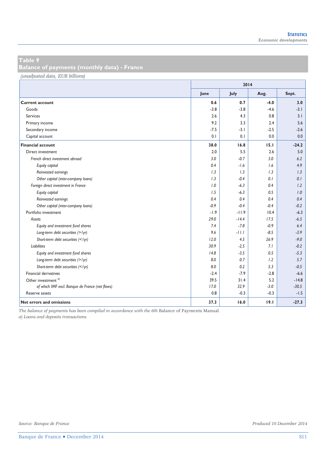**Balance of payments (monthly data) - France** 

*(unadjusted data, EUR billions)*

|                                                 | 2014   |         |        |         |  |
|-------------------------------------------------|--------|---------|--------|---------|--|
|                                                 | June   | July    | Aug.   | Sept.   |  |
| <b>Current account</b>                          | 0.6    | 0.7     | $-4.0$ | 3.0     |  |
| Goods                                           | $-3.8$ | $-3.8$  | $-4.6$ | $-3.1$  |  |
| <b>Services</b>                                 | 2.6    | 4.3     | 0.8    | 3.1     |  |
| Primary income                                  | 9.2    | 3.3     | 2.4    | 5.6     |  |
| Secondary income                                | $-7.5$ | $-3.1$  | $-2.5$ | $-2.6$  |  |
| Capital account                                 | 0.1    | 0.1     | 0.0    | 0.0     |  |
| <b>Financial account</b>                        | 38.0   | 16.8    | 15.1   | $-24.2$ |  |
| Direct investment                               | 2.0    | 5.5     | 2.6    | 5.0     |  |
| French direct investment abroad                 | 3.0    | $-0.7$  | 3.0    | 6.2     |  |
| Equity capital                                  | 0.4    | $-1.6$  | 1.6    | 4.9     |  |
| Reinvested earnings                             | 1.3    | 1.3     | 1.3    | 1.3     |  |
| Other capital (inter-company loans)             | 1.3    | $-0.4$  | 0.1    | 0.1     |  |
| Foreign direct investment in France             | 1.0    | $-6.3$  | 0.4    | 1.2     |  |
| Equity capital                                  | 1.5    | $-6.3$  | 0.5    | 1.0     |  |
| Reinvested earnings                             | 0.4    | 0.4     | 0.4    | 0.4     |  |
| Other capital (inter-company loans)             | $-0.9$ | $-0.4$  | $-0.4$ | $-0.2$  |  |
| Portfolio investment                            | $-1.9$ | $-11.9$ | 10.4   | $-6.3$  |  |
| Assets                                          | 29.0   | $-14.4$ | 17.5   | $-6.5$  |  |
| Equity and investment fund shares               | 7.4    | $-7.8$  | $-0.9$ | 6.4     |  |
| Long-term debt securities (> lyr)               | 9.6    | $-11.1$ | $-8.5$ | $-3.9$  |  |
| Short-term debt securities ( /> lyr)            | 12.0   | 4.5     | 26.9   | $-9.0$  |  |
| <b>Liabilities</b>                              | 30.9   | $-2.5$  | 7.1    | $-0.2$  |  |
| Equity and investment fund shares               | 14.8   | $-3.5$  | 0.5    | $-5.3$  |  |
| Long-term debt securities (> lyr)               | 8.0    | 0.7     | 1.2    | 5.7     |  |
| Short-term debt securities (<1yr)               | 8.0    | 0.2     | 5.3    | $-0.5$  |  |
| Financial derivatives                           | $-2.4$ | $-7.9$  | $-2.8$ | $-6.6$  |  |
| Other investment <sup>a)</sup>                  | 39.5   | 31.4    | 5.2    | $-14.8$ |  |
| of which IMF excl. Banque de France (net flows) | 17.0   | 32.9    | $-3.0$ | $-30.5$ |  |
| Reserve assets                                  | 0.8    | $-0.3$  | $-0.3$ | $-1.5$  |  |
| Net errors and omissions                        | 37.3   | 16.0    | 19.1   | $-27.3$ |  |

*The balance of payments has been compiled in accordance with the 6th* Balance of Payments Manual*.* 

*a) Loans and deposits transactions.*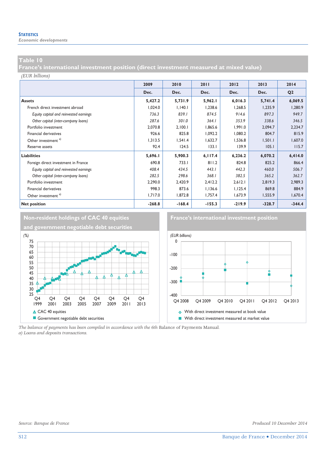*Economic developments* 

#### **Table 10**

**France's international investment position (direct investment measured at mixed value)** 

#### *(EUR billions)*

|                                        | 2009     | 2010     | 2011     | 2012     | 2013     | 2014           |
|----------------------------------------|----------|----------|----------|----------|----------|----------------|
|                                        | Dec.     | Dec.     | Dec.     | Dec.     | Dec.     | Q <sub>2</sub> |
| <b>Assets</b>                          | 5,427.2  | 5,731.9  | 5,962.1  | 6,016.3  | 5,741.4  | 6,069.5        |
| French direct investment abroad        | 1,024.0  | 1.140.1  | 1.238.6  | 1,268.5  | 1,235.9  | 1,280.9        |
| Equity capital and reinvested earnings | 736.3    | 839.1    | 874.5    | 914.6    | 897.3    | 949.7          |
| Other capital (inter-company loans)    | 287.6    | 301.0    | 364.1    | 353.9    | 338.6    | 346.5          |
| Portfolio investment                   | 2,070.8  | 2,100.1  | 1,865.6  | 1,991.0  | 2,094.7  | 2,234.7        |
| <b>Financial derivatives</b>           | 926.6    | 825.8    | 1,092.2  | 1,080.2  | 804.7    | 815.9          |
| Other investment <sup>a)</sup>         | 1,313.5  | 1,541.4  | 1,632.7  | 1,536.8  | 1,501.1  | 1,607.0        |
| Reserve assets                         | 92.4     | 124.5    | 133.1    | 139.9    | 105.1    | 115.7          |
| <b>Liabilities</b>                     | 5,696.1  | 5,900.3  | 6,117.4  | 6,236.2  | 6,070.2  | 6,414.0        |
| Foreign direct investment in France    | 690.8    | 733.1    | 811.2    | 824.8    | 825.2    | 866.4          |
| Equity capital and reinvested earnings | 408.4    | 434.5    | 443.1    | 442.3    | 460.0    | 506.7          |
| Other capital (inter-company loans)    | 282.5    | 298.6    | 368.1    | 382.5    | 365.2    | 362.7          |
| Portfolio investment                   | 2,290.0  | 2,420.9  | 2,412.2  | 2,612.1  | 2,819.3  | 2,989.3        |
| <b>Financial derivatives</b>           | 998.3    | 873.6    | 1,136.6  | 1,125.4  | 869.8    | 884.9          |
| Other investment <sup>a)</sup>         | 1,717.0  | 1,872.8  | 1,757.4  | 1,673.9  | 1,555.9  | 1,670.4        |
| <b>Net position</b>                    | $-268.8$ | $-168.4$ | $-155.3$ | $-219.9$ | $-328.7$ | $-344.4$       |



*The balance of payments has been compiled in accordance with the 6th* Balance of Payments Manual*. a) Loans and deposits transactions.*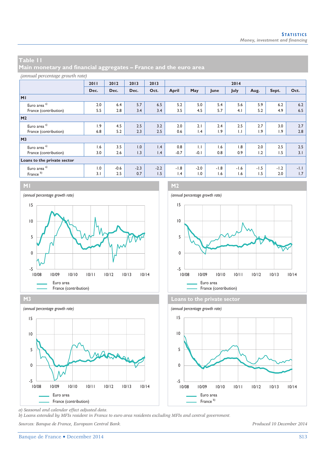**Main monetary and financial aggregates – France and the euro area** 

#### *(annual percentage growth rate)*

|                             | 2011 | 2012   | 2013   | 2013   | 2014   |                 |        |              |        |        |        |
|-----------------------------|------|--------|--------|--------|--------|-----------------|--------|--------------|--------|--------|--------|
|                             | Dec. | Dec.   | Dec.   | Oct.   | April  | May             | June   | July         | Aug.   | Sept.  | Oct.   |
| M <sub>1</sub>              |      |        |        |        |        |                 |        |              |        |        |        |
| Euro area <sup>a)</sup>     | 2.0  | 6.4    | 5.7    | 6.5    | 5.2    | 5.0             | 5.4    | 5.6          | 5.9    | 6.2    | 6.2    |
| France (contribution)       | 5.5  | 2.8    | 3.4    | 3.4    | 3.5    | 4.5             | 5.7    | 4.1          | 5.2    | 4.9    | 6.5    |
| M <sub>2</sub>              |      |        |        |        |        |                 |        |              |        |        |        |
| Euro area <sup>a)</sup>     | 1.9  | 4.5    | 2.5    | 3.2    | 2.0    | 2.1             | 2.4    | 2.5          | 2.7    | 3.0    | 2.7    |
| France (contribution)       | 6.8  | 5.2    | 2.3    | 2.5    | 0.6    | $\mathsf{I}$ .4 | 1.9    | $\mathbf{L}$ | 1.9    | 1.9    | 2.8    |
| M <sub>3</sub>              |      |        |        |        |        |                 |        |              |        |        |        |
| Euro area <sup>a)</sup>     | 1.6  | 3.5    | 1.0    | 1.4    | 0.8    | $\mathbf{L}$    | 1.6    | 1.8          | 2.0    | 2.5    | 2.5    |
| France (contribution)       | 3.0  | 2.6    | 1.3    | 1.4    | $-0.7$ | $-0.1$          | 0.8    | 0.9          | 1.2    | 1.5    | 3.1    |
| Loans to the private sector |      |        |        |        |        |                 |        |              |        |        |        |
| Euro area <sup>a)</sup>     | 1.0  | $-0.6$ | $-2.3$ | $-2.2$ | $-1.8$ | $-2.0$          | $-1.8$ | $-1.6$       | $-1.5$ | $-1.2$ | $-1.1$ |
| France <sup>b)</sup>        | 3.1  | 2.5    | 0.7    | 1.5    | 1.4    | 1.0             | 1.6    | 1.6          | 1.5    | 2.0    | 1.7    |











*a) Seasonal and calendar effect adjusted data.* 

*b) Loans extended by MFIs resident in France to euro area residents excluding MFIs and central government.* 

*Sources: Banque de France, European Central Bank. Produced 10 December 2014*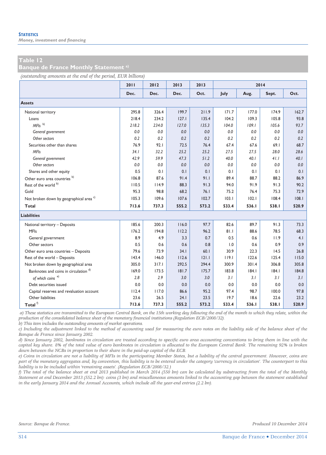*Money, investment and financing* 

#### **Table 12**

#### **Banque de France Monthly Statement a)**

*(outstanding amounts at the end of the period, EUR billions)*

|                                                    | 2011  | 2012  | 2013  | 2013  |       |       | 2014  |       |
|----------------------------------------------------|-------|-------|-------|-------|-------|-------|-------|-------|
|                                                    | Dec.  | Dec.  | Dec.  | Oct.  | July  | Aug.  | Sept. | Oct.  |
| <b>Assets</b>                                      |       |       |       |       |       |       |       |       |
| National territory                                 | 295.8 | 326.4 | 199.7 | 211.9 | 171.7 | 177.0 | 174.9 | 162.7 |
| Loans                                              | 218.4 | 234.2 | 127.1 | 135.4 | 104.2 | 109.3 | 105.8 | 93.8  |
| $MFls$ <sup>b)</sup>                               | 218.2 | 234.0 | 127.0 | 135.3 | 104.0 | 109.1 | 105.6 | 93.7  |
| General government                                 | 0.0   | 0.0   | 0.0   | 0.0   | 0.0   | 0.0   | 0.0   | 0.0   |
| Other sectors                                      | 0.2   | 0.2   | 0.2   | 0.2   | 0.2   | 0.2   | 0.2   | 0.2   |
| Securities other than shares                       | 76.9  | 92.1  | 72.5  | 76.4  | 67.4  | 67.6  | 69.1  | 68.7  |
| <b>MFIs</b>                                        | 34.1  | 32.2  | 25.2  | 25.2  | 27.5  | 27.5  | 28.0  | 28.6  |
| General government                                 | 42.9  | 59.9  | 47.3  | 51.2  | 40.0  | 40.1  | 41.1  | 40.1  |
| Other sectors                                      | 0.0   | 0.0   | 0.0   | 0.0   | 0.0   | 0.0   | 0.0   | 0.0   |
| Shares and other equity                            | 0.5   | 0.1   | 0.1   | 0.1   | 0.1   | 0.1   | 0.1   | 0.1   |
| Other euro area countries <sup>b)</sup>            | 106.8 | 87.6  | 91.4  | 91.1  | 89.4  | 88.7  | 88.2  | 86.9  |
| Rest of the world b)                               | 110.5 | 114.9 | 88.3  | 91.3  | 94.0  | 91.9  | 91.3  | 90.2  |
| Gold                                               | 95.3  | 98.8  | 68.2  | 76.1  | 75.2  | 76.4  | 75.3  | 72.9  |
| Not broken down by geographical area <sup>c)</sup> | 105.3 | 109.6 | 107.6 | 102.7 | 103.1 | 102.1 | 108.4 | 108.1 |
| Total                                              | 713.6 | 737.3 | 555.2 | 573.2 | 533.4 | 536.I | 538.I | 520.9 |
| <b>Liabilities</b>                                 |       |       |       |       |       |       |       |       |
| National territory - Deposits                      | 185.6 | 200.3 | 116.0 | 97.7  | 82.6  | 89.7  | 91.3  | 73.3  |
| <b>MFIs</b>                                        | 176.2 | 194.8 | 112.2 | 96.2  | 81.1  | 88.6  | 78.5  | 68.3  |
| General government                                 | 8.9   | 4.9   | 3.3   | 0.7   | 0.5   | 0.6   | 11.9  | 4.1   |
| Other sectors                                      | 0.5   | 0.6   | 0.6   | 0.8   | 1.0   | 0.6   | 0.9   | 0.9   |
| Other euro area countries - Deposits               | 79.6  | 73.9  | 34.1  | 60.1  | 30.9  | 22.3  | 14.5  | 26.8  |
| Rest of the world - Deposits                       | 143.4 | 146.0 | 112.6 | 121.1 | 119.1 | 122.6 | 125.4 | 115.0 |
| Not broken down by geographical area               | 305.0 | 317.1 | 292.5 | 294.4 | 300.9 | 301.4 | 306.8 | 305.8 |
| Banknotes and coins in circulation <sup>d)</sup>   | 169.0 | 173.5 | 181.7 | 175.7 | 183.8 | 184.1 | 184.1 | 184.8 |
| of which coins <sup>e)</sup>                       | 2.8   | 2.9   | 3.0   | 3.0   | 3.1   | 3.1   | 3.1   | 3.1   |
| Debt securities issued                             | 0.0   | 0.0   | 0.0   | 0.0   | 0.0   | 0.0   | 0.0   | 0.0   |
| Capital reserves and revaluation account           | 112.4 | 117.0 | 86.6  | 95.2  | 97.4  | 98.7  | 100.0 | 97.8  |
| Other liabilities                                  | 23.6  | 26.5  | 24.1  | 23.5  | 19.7  | 18.6  | 22.6  | 23.2  |
| Total $^{\rm f)}$                                  | 713.6 | 737.3 | 555.2 | 573.2 | 533.4 | 536.I | 538.I | 520.9 |

 *a) These statistics are transmitted to the European Central Bank, on the 15th working day following the end of the month to which they relate, within the production of the consolidated balance sheet of the monetary financial institutions (Regulation ECB/2008/32).* 

*b) This item includes the outstanding amounts of market operations.* 

*c) Including the adjustment linked to the method of accounting used for measuring the euro notes on the liability side of the balance sheet of the Banque de France since January 2002.* 

*d) Since January 2002, banknotes in circulation are treated according to specific euro area accounting conventions to bring them in line with the capital key share. 8% of the total value of euro banknotes in circulation is allocated to the European Central Bank. The remaining 92% is broken down between the NCBs in proportion to their share in the paid-up capital of the ECB.* 

*e) Coins in circulation are not a liability of MFIs in the participating Member States, but a liability of the central government. However, coins are part of the monetary aggregates and, by convention, this liability is to be entered under the category 'currency in circulation'. The counterpart to this liability is to be included within 'remaining assets'. (Regulation ECB/2008/32.)* 

*f) The total of the balance sheet at end 2013 published in March 2014 (550 bn) can be calculated by substracting from the total of the Monthly Statement at end December 2013 (552.2 bn): coins (3 bn) and miscellaneous amounts linked to the accounting gap between the statement established in the early January 2014 and the Annual Accounts, which include all the year-end entries (2.2 bn).*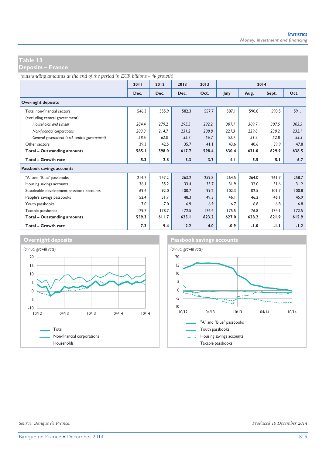**Deposits – France** 

*(outstanding amounts at the end of the period in EUR billions – % growth)*

|                                               | 2011  | 2012  | 2013  | 2013  | 2014   |        |       |        |
|-----------------------------------------------|-------|-------|-------|-------|--------|--------|-------|--------|
|                                               | Dec.  | Dec.  | Dec.  | Oct.  | July   | Aug.   | Sept. | Oct.   |
| <b>Overnight deposits</b>                     |       |       |       |       |        |        |       |        |
| Total non-financial sectors                   | 546.3 | 555.9 | 582.3 | 557.7 | 587.1  | 590.8  | 590.5 | 591.1  |
| (excluding central government)                |       |       |       |       |        |        |       |        |
| Households and similar                        | 284.4 | 279.2 | 295.5 | 292.2 | 307.1  | 309.7  | 307.5 | 303.5  |
| Non-financial corporations                    | 203.3 | 214.7 | 231.2 | 208.8 | 227.3  | 229.8  | 230.2 | 232.1  |
| General government (excl. central government) | 58.6  | 62.0  | 55.7  | 56.7  | 52.7   | 51.2   | 52.8  | 55.5   |
| Other sectors                                 | 39.3  | 42.5  | 35.7  | 41.1  | 43.6   | 40.6   | 39.9  | 47.8   |
| Total - Outstanding amounts                   | 585.I | 598.0 | 617.7 | 598.4 | 630.4  | 631.0  | 629.9 | 638.5  |
| Total - Growth rate                           | 5.3   | 2.8   | 3.3   | 3.7   | 4.1    | 5.5    | 5.1   | 6.7    |
| Passbook savings accounts                     |       |       |       |       |        |        |       |        |
| "A" and "Blue" passbooks                      | 214.7 | 247.2 | 263.2 | 259.8 | 264.5  | 264.0  | 261.7 | 258.7  |
| Housing savings accounts                      | 36.1  | 35.2  | 33.4  | 33.7  | 31.9   | 32.0   | 31.6  | 31.2   |
| Sustainable development passbook accounts     | 69.4  | 92.0  | 100.7 | 99.2  | 102.3  | 102.5  | 101.7 | 100.8  |
| People's savings passbooks                    | 52.4  | 51.7  | 48.3  | 49.3  | 46.1   | 46.2   | 46.1  | 45.9   |
| Youth passbooks                               | 7.0   | 7.0   | 6.9   | 6.9   | 6.7    | 6.8    | 6.8   | 6.8    |
| Taxable passbooks                             | 179.7 | 178.7 | 172.5 | 174.4 | 175.5  | 176.8  | 174.1 | 172.5  |
| <b>Total - Outstanding amounts</b>            | 559.3 | 611.7 | 625.1 | 623.2 | 627.0  | 628.2  | 621.9 | 615.9  |
| Total - Growth rate                           | 7.3   | 9.4   | 2.2   | 4.0   | $-0.9$ | $-1.0$ | -1.1  | $-1.2$ |



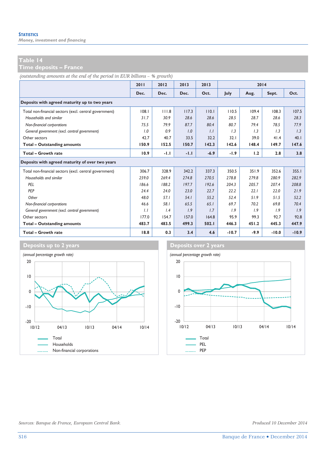*Money, investment and financing* 

**Time deposits – France** 

*(outstanding amounts at the end of the period in EUR billions – % growth)*

|                                                        | 2011  | 2012   | 2013   | 2013   |         | 2014   |         |         |
|--------------------------------------------------------|-------|--------|--------|--------|---------|--------|---------|---------|
|                                                        | Dec.  | Dec.   | Dec.   | Oct.   | July    | Aug.   | Sept.   | Oct.    |
| Deposits with agreed maturity up to two years          |       |        |        |        |         |        |         |         |
| Total non-financial sectors (excl. central government) | 108.1 | 111.8  | 117.3  | 110.1  | 110.5   | 109.4  | 108.3   | 107.5   |
| Households and similar                                 | 31.7  | 30.9   | 28.6   | 28.6   | 28.5    | 28.7   | 28.6    | 28.3    |
| Non-financial corporations                             | 75.5  | 79.9   | 87.7   | 80.4   | 80.7    | 79.4   | 78.5    | 77.9    |
| General government (excl. central government)          | 1.0   | 0.9    | 1.0    | 1.1    | 1.3     | 1.3    | 1.3     | 1.3     |
| Other sectors                                          | 42.7  | 40.7   | 33.5   | 32.2   | 32.1    | 39.0   | 41.4    | 40.1    |
| <b>Total - Outstanding amounts</b>                     | 150.9 | 152.5  | 150.7  | 142.3  | 142.6   | 148.4  | 149.7   | 147.6   |
| Total - Growth rate                                    | 10.9  | $-1.1$ | $-1.1$ | $-6.9$ | $-1.9$  | 1.2    | 2.8     | 3.8     |
| Deposits with agreed maturity of over two years        |       |        |        |        |         |        |         |         |
| Total non-financial sectors (excl. central government) | 306.7 | 328.9  | 342.2  | 337.3  | 350.5   | 351.9  | 352.6   | 355.1   |
| Households and similar                                 | 259.0 | 269.4  | 274.8  | 270.5  | 278.8   | 279.8  | 280.9   | 282.9   |
| PEL                                                    | 186.6 | 188.2  | 197.7  | 192.6  | 204.3   | 205.7  | 207.4   | 208.8   |
| PEP                                                    | 24.4  | 24.0   | 23.0   | 22.7   | 22.2    | 22.1   | 22.0    | 21.9    |
| Other                                                  | 48.0  | 57.1   | 54.1   | 55.2   | 52.4    | 51.9   | 51.5    | 52.2    |
| Non-financial corporations                             | 46.6  | 58.1   | 65.5   | 65.1   | 69.7    | 70.2   | 69.8    | 70.4    |
| General government (excl. central government)          | 1.1   | 1.4    | 1.9    | 1.7    | 1.9     | 1.9    | 1.9     | 1.9     |
| Other sectors                                          | 177.0 | 154.7  | 157.0  | 164.8  | 95.9    | 99.3   | 92.7    | 92.8    |
| <b>Total - Outstanding amounts</b>                     | 483.7 | 483.5  | 499.3  | 502.1  | 446.3   | 451.2  | 445.3   | 447.9   |
| Total - Growth rate                                    | 18.8  | 0.3    | 3.4    | 4.6    | $-10.7$ | $-9.9$ | $-10.0$ | $-10.9$ |



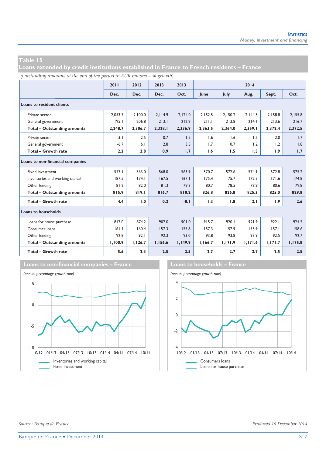**Loans extended by credit institutions established in France to French residents – France** 

*(outstanding amounts at the end of the period in EUR billions – % growth)*

|                                    | 2011    | 2012    | 2013    | 2013    |         |         | 2014    |         |         |
|------------------------------------|---------|---------|---------|---------|---------|---------|---------|---------|---------|
|                                    | Dec.    | Dec.    | Dec.    | Oct.    | lune    | July    | Aug.    | Sept.   | Oct.    |
| <b>Loans to resident clients</b>   |         |         |         |         |         |         |         |         |         |
| Private sector                     | 2.053.7 | 2.100.0 | 2.114.9 | 2.124.0 | 2.152.5 | 2.150.2 | 2.144.5 | 2.158.8 | 2.155.8 |
| General government                 | 195.1   | 206.8   | 213.1   | 212.9   | 211.1   | 213.8   | 214.6   | 213.6   | 216.7   |
| <b>Total - Outstanding amounts</b> | 2,248.7 | 2,306.7 | 2,328.1 | 2,336.9 | 2,363.5 | 2,364.0 | 2,359.1 | 2,372.4 | 2,372.5 |
| Private sector                     | 3.1     | 2.5     | 0.7     | 1.5     | 1.6     | 1.6     | 1.5     | 2.0     | 1.7     |
| General government                 | $-6.7$  | 6.1     | 2.8     | 3.5     | 1.7     | 0.7     | 1.2     | 1.2     | 1.8     |
| Total - Growth rate                | 2.2     | 2.8     | 0.9     | 1.7     | 1.6     | 1.5     | 1.5     | 1.9     | 1.7     |
| Loans to non-financial companies   |         |         |         |         |         |         |         |         |         |
| <b>Fixed investment</b>            | 547.1   | 563.0   | 568.0   | 563.9   | 570.7   | 572.6   | 574.1   | 572.8   | 575.2   |
| Inventories and working capital    | 187.5   | 174.1   | 167.5   | 167.1   | 175.4   | 175.7   | 172.3   | 171.6   | 174.8   |
| Other lending                      | 81.2    | 82.0    | 81.3    | 79.3    | 80.7    | 78.5    | 78.9    | 80.6    | 79.8    |
| <b>Total - Outstanding amounts</b> | 815.9   | 819.1   | 816.7   | 810.2   | 826.8   | 826.8   | 825.3   | 825.0   | 829.8   |
| <b>Total - Growth rate</b>         | 4.4     | 1.0     | 0.2     | $-0.1$  | 1.3     | 1.8     | 2.1     | 1.9     | 2.6     |
| <b>Loans to households</b>         |         |         |         |         |         |         |         |         |         |
| Loans for house purchase           | 847.0   | 874.2   | 907.0   | 901.0   | 915.7   | 920.1   | 921.9   | 922.1   | 924.5   |
| Consumer Ioans                     | 161.1   | 160.4   | 157.3   | 155.8   | 157.3   | 157.9   | 155.9   | 157.1   | 158.6   |
| Other lending                      | 92.8    | 92.1    | 92.3    | 93.0    | 93.8    | 93.8    | 93.9    | 92.5    | 92.7    |
| <b>Total - Outstanding amounts</b> | 1,100.9 | 1,126.7 | 1,156.6 | 1,149.9 | 1,166.7 | 1,171.9 | 1,171.6 | 1,171.7 | 1,175.8 |
| Total - Growth rate                | 5.6     | 2.3     | 2.5     | 2.5     | 2.7     | 2.7     | 2.7     | 2.5     | 2.5     |



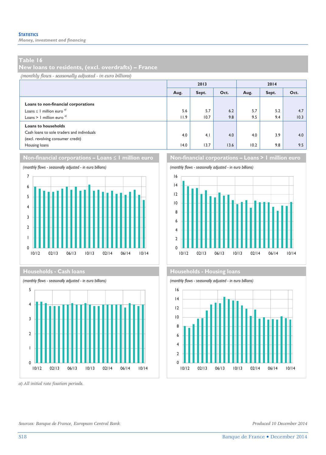*Money, investment and financing* 

#### **Table 16**

**New loans to residents, (excl. overdrafts) – France** 

*(monthly flows - seasonally adjusted - in euro billions)*

|                                                                                                                                |             | 2013        |             | 2014        |            |             |  |
|--------------------------------------------------------------------------------------------------------------------------------|-------------|-------------|-------------|-------------|------------|-------------|--|
|                                                                                                                                | Aug.        | Sept.       | Oct.        | Aug.        | Sept.      | Oct.        |  |
| Loans to non-financial corporations<br>Loans $\leq$ 1 million euro <sup><math>q</math></sup><br>Loans > 1 million euro $q$     | 5.6<br>11.9 | 5.7<br>10.7 | 6.2<br>9.8  | 5.7<br>9.5  | 5.2<br>9.4 | 4.7<br>10.3 |  |
| <b>Loans to households</b><br>Cash loans to sole traders and individuals<br>(excl. revolving consumer credit)<br>Housing loans | 4.0<br>14.0 | 4.1<br>13.7 | 4.0<br>13.6 | 4.0<br>10.2 | 3.9<br>9.8 | 4.0<br>9.5  |  |







*a) All initial rate fixation periods.* 





#### **Households - Cash loans Households - Cash loans**



*Sources: Banque de France, European Central Bank. Produced 10 December 2014*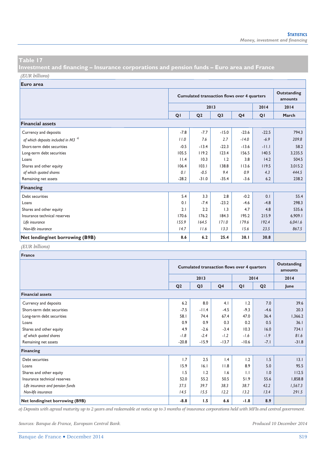**Investment and financing – Insurance corporations and pension funds – Euro area and France**  *(EUR billions)*

**Euro area**

|                                                |         | <b>Cumulated transaction flows over 4 quarters</b> |                |                |         |         |  |
|------------------------------------------------|---------|----------------------------------------------------|----------------|----------------|---------|---------|--|
|                                                |         |                                                    | 2013           |                | 2014    | 2014    |  |
|                                                | QI      | Q <sub>2</sub>                                     | Q <sub>3</sub> | Q <sub>4</sub> | QI      | March   |  |
| <b>Financial assets</b>                        |         |                                                    |                |                |         |         |  |
| Currency and deposits                          | $-7.8$  | $-7.7$                                             | $-15.0$        | $-23.6$        | $-22.5$ | 794.3   |  |
| of which deposits included in M3 <sup>a)</sup> | 11.0    | 7.6                                                | 2.7            | $-14.0$        | $-6.9$  | 209.8   |  |
| Short-term debt securities                     | $-0.5$  | $-13.4$                                            | $-22.3$        | $-13.6$        | $-11.1$ | 58.2    |  |
| Long-term debt securities                      | 105.5   | 119.2                                              | 123.4          | 156.5          | 140.5   | 3,235.5 |  |
| Loans                                          | 11.4    | 10.3                                               | 1.2            | 3.8            | 14.2    | 504.5   |  |
| Shares and other equity                        | 106.4   | 103.1                                              | 138.8          | 113.6          | 119.5   | 3,015.2 |  |
| of which quoted shares                         | 0.1     | $-0.5$                                             | 9.4            | 0.9            | 4.3     | 444.5   |  |
| Remaining net assets                           | $-28.2$ | $-31.0$                                            | $-35.4$        | $-3.6$         | 6.2     | 238.2   |  |
| <b>Financing</b>                               |         |                                                    |                |                |         |         |  |
| Debt securities                                | 5.4     | 3.3                                                | 2.8            | $-0.2$         | 0.1     | 55.4    |  |
| Loans                                          | 0.1     | $-7.4$                                             | $-23.2$        | $-4.6$         | $-4.8$  | 298.3   |  |
| Shares and other equity                        | 2.1     | 2.2                                                | 1.3            | 4.7            | 4.8     | 535.6   |  |
| Insurance technical reserves                   | 170.6   | 176.2                                              | 184.3          | 195.2          | 215.9   | 6,909.1 |  |
| Life insurance                                 | 155.9   | 164.5                                              | 171.0          | 179.6          | 192.4   | 6,041.6 |  |
| Non-life insurance                             | 14.7    | 11.6                                               | 13.3           | 15.6           | 23.5    | 867.5   |  |
| Net lending/net borrowing (B9B)                | 8.6     | 6.2                                                | 25.4           | 38.1           | 30.8    |         |  |

# *(EUR billions)*

| France                           |                |                                                    |                |         |                |         |  |  |
|----------------------------------|----------------|----------------------------------------------------|----------------|---------|----------------|---------|--|--|
|                                  |                | <b>Cumulated transaction flows over 4 quarters</b> |                |         |                |         |  |  |
|                                  |                | 2013                                               |                |         | 2014           | 2014    |  |  |
|                                  | Q <sub>2</sub> | Q <sub>3</sub>                                     | Q <sub>4</sub> | QI      | Q <sub>2</sub> | June    |  |  |
| <b>Financial assets</b>          |                |                                                    |                |         |                |         |  |  |
| Currency and deposits            | 6.2            | 8.0                                                | 4.1            | 1.2     | 7.0            | 39.6    |  |  |
| Short-term debt securities       | $-7.5$         | $-11.4$                                            | $-4.5$         | $-9.3$  | $-4.6$         | 20.3    |  |  |
| Long-term debt securities        | 58.1           | 74.4                                               | 67.4           | 47.0    | 36.4           | 1,366.2 |  |  |
| Loans                            | 0.9            | 0.9                                                | 0.3            | 0.2     | 0.5            | 36.1    |  |  |
| Shares and other equity          | 4.9            | $-2.6$                                             | $-3.4$         | 10.3    | 16.0           | 734.I   |  |  |
| of which quoted shares           | $-1.8$         | $-2.4$                                             | $-1.2$         | $-1.6$  | $-1.9$         | 81.6    |  |  |
| Remaining net assets             | $-20.8$        | $-15.9$                                            | $-13.7$        | $-10.6$ | $-7.1$         | $-31.8$ |  |  |
| Financing                        |                |                                                    |                |         |                |         |  |  |
| Debt securities                  | 1.7            | 2.5                                                | 1.4            | 1.2     | 1.5            | 3.1     |  |  |
| Loans                            | 15.9           | 16.1                                               | 11.8           | 8.9     | 5.0            | 95.5    |  |  |
| Shares and other equity          | 1.5            | 1.2                                                | 1.6            | 1.1     | 1.0            | 112.5   |  |  |
| Insurance technical reserves     | 52.0           | 55.2                                               | 50.5           | 51.9    | 55.6           | 1,858.8 |  |  |
| Life insurance and pension funds | 37.5           | 39.7                                               | 38.3           | 38.7    | 42.2           | 1,567.3 |  |  |
| Non-life insurance               | 14.5           | 15.5                                               | 12.2           | 13.2    | 13.4           | 291.5   |  |  |
| Net lending/net borrowing (B9B)  | $-8.8$         | 1.5                                                | 6.6            | $-1.8$  | 8.9            |         |  |  |

*a) Deposits with agreed maturity up to 2 years and redeemable at notice up to 3 months of insurance corporations held with MFIs and central government.* 

*Sources: Banque de France, European Central Bank. Produced 10 December 2014*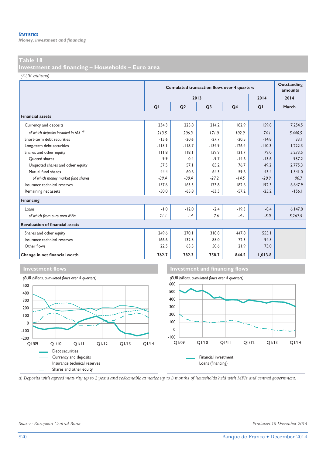*Money, investment and financing* 

#### **Table 18**

**Investment and financing – Households – Euro area** 

*(EUR billions)*

|                                          |          | <b>Cumulated transaction flows over 4 quarters</b> |                |                |          |          |  |  |
|------------------------------------------|----------|----------------------------------------------------|----------------|----------------|----------|----------|--|--|
|                                          |          |                                                    | 2013           |                | 2014     | 2014     |  |  |
|                                          | QI       | Q <sub>2</sub>                                     | Q <sub>3</sub> | Q <sub>4</sub> | QI       | March    |  |  |
| <b>Financial assets</b>                  |          |                                                    |                |                |          |          |  |  |
| Currency and deposits                    | 234.3    | 225.8                                              | 214.2          | 182.9          | 159.8    | 7,254.5  |  |  |
| of which deposits included in M3 $^{a)}$ | 213.5    | 206.3                                              | 171.0          | 102.9          | 74.1     | 5,440.5  |  |  |
| Short-term debt securities               | $-15.6$  | $-20.6$                                            | $-27.7$        | $-20.5$        | $-14.8$  | 33.1     |  |  |
| Long-term debt securities                | $-115.1$ | $-118.7$                                           | $-134.9$       | $-126.4$       | $-110.3$ | 1,222.3  |  |  |
| Shares and other equity                  | 111.8    | 118.1                                              | 139.9          | 121.7          | 79.0     | 5.273.5  |  |  |
| Ouoted shares                            | 9.9      | 0.4                                                | $-97$          | $-14.6$        | $-13.6$  | 957.2    |  |  |
| Unquoted shares and other equity         | 57.5     | 57.1                                               | 85.2           | 76.7           | 49.2     | 2,775.3  |  |  |
| Mutual fund shares                       | 44.4     | 60.6                                               | 64.3           | 59.6           | 43.4     | 1,541.0  |  |  |
| of which money market fund shares        | $-39.4$  | $-30.4$                                            | $-27.2$        | $-14.5$        | $-20.9$  | 90.7     |  |  |
| Insurance technical reserves             | 157.6    | 163.3                                              | 173.8          | 182.6          | 192.3    | 6.647.9  |  |  |
| Remaining net assets                     | $-50.0$  | $-65.8$                                            | $-63.5$        | $-57.2$        | $-25.2$  | $-156.1$ |  |  |
| <b>Financing</b>                         |          |                                                    |                |                |          |          |  |  |
| Loans                                    | $-1.0$   | $-12.0$                                            | $-2.4$         | $-19.3$        | $-8.4$   | 6.147.8  |  |  |
| of which from euro area MFIs             | 21.1     | 1.4                                                | 7.6            | $-4.1$         | $-5.0$   | 5,267.5  |  |  |
| <b>Revaluation of financial assets</b>   |          |                                                    |                |                |          |          |  |  |
| Shares and other equity                  | 249.6    | 270.1                                              | 318.8          | 447.8          | 555.1    |          |  |  |
| Insurance technical reserves             | 166.6    | 132.5                                              | 85.0           | 72.3           | 94.5     |          |  |  |
| Other flows                              | 22.5     | 65.5                                               | 50.6           | 21.9           | 75.0     |          |  |  |
| Change in net financial worth            | 762.7    | 782.3                                              | 758.7          | 844.5          | 1,013.8  |          |  |  |





*a) Deposits with agreed maturity up to 2 years and redeemable at notice up to 3 months of households held with MFIs and central government.*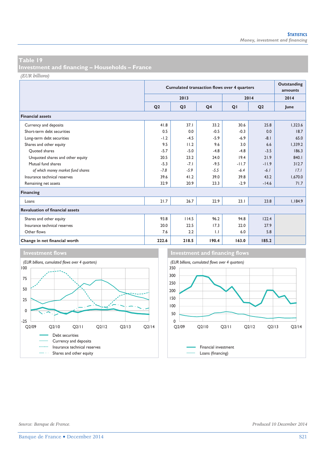**Investment and financing – Households – France** 

*(EUR billions)*

|                                        |                | <b>Cumulated transaction flows over 4 quarters</b> |                |         |                |         |  |
|----------------------------------------|----------------|----------------------------------------------------|----------------|---------|----------------|---------|--|
|                                        |                | 2013                                               |                |         | 2014           | 2014    |  |
|                                        | Q <sub>2</sub> | Q <sub>3</sub>                                     | Q <sub>4</sub> | QI      | Q <sub>2</sub> | June    |  |
| <b>Financial assets</b>                |                |                                                    |                |         |                |         |  |
| Currency and deposits                  | 41.8           | 37.1                                               | 33.2           | 30.6    | 25.8           | 1,323.6 |  |
| Short-term debt securities             | 0.5            | 0.0                                                | $-0.5$         | $-0.3$  | 0.0            | 18.7    |  |
| Long-term debt securities              | $-1.2$         | $-4.5$                                             | $-5.9$         | $-6.9$  | $-8.1$         | 65.0    |  |
| Shares and other equity                | 9.5            | 11.2                                               | 9.6            | 3.0     | 6.6            | 1,339.2 |  |
| Ouoted shares                          | $-5.7$         | $-5.0$                                             | $-4.8$         | $-4.8$  | $-3.5$         | 186.3   |  |
| Unquoted shares and other equity       | 20.5           | 23.2                                               | 24.0           | 19.4    | 21.9           | 840.1   |  |
| Mutual fund shares                     | $-5.3$         | $-7.1$                                             | $-9.5$         | $-11.7$ | $-11.9$        | 312.7   |  |
| of which money market fund shares      | $-7.8$         | $-5.9$                                             | $-5.5$         | $-6.4$  | $-6.1$         | 17.1    |  |
| Insurance technical reserves           | 39.6           | 41.2                                               | 39.0           | 39.8    | 43.2           | 1,670.0 |  |
| Remaining net assets                   | 32.9           | 20.9                                               | 23.3           | $-2.9$  | $-14.6$        | 71.7    |  |
| <b>Financing</b>                       |                |                                                    |                |         |                |         |  |
| Loans                                  | 21.7           | 26.7                                               | 22.9           | 23.1    | 23.8           | 1.184.9 |  |
| <b>Revaluation of financial assets</b> |                |                                                    |                |         |                |         |  |
| Shares and other equity                | 93.8           | 114.5                                              | 96.2           | 94.8    | 122.4          |         |  |
| Insurance technical reserves           | 20.0           | 22.5                                               | 17.3           | 22.0    | 27.9           |         |  |
| Other flows                            | 7.6            | 2.2                                                | 1.1            | 6.0     | 5.8            |         |  |
| Change in net financial worth          | 222.6          | 218.5                                              | 190.4          | 163.0   | 185.2          |         |  |



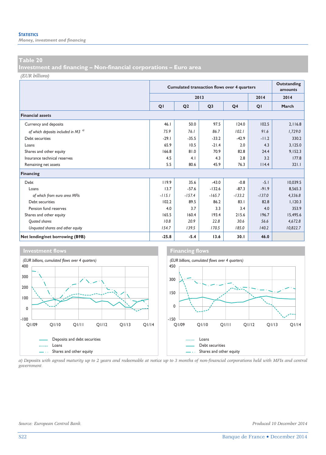*Money, investment and financing* 

#### **Table 20**

**Investment and financing – Non-financial corporations – Euro area** 

*(EUR billions)*

|                                                |          | <b>Cumulated transaction flows over 4 quarters</b> | Outstanding<br>amounts |                |          |          |
|------------------------------------------------|----------|----------------------------------------------------|------------------------|----------------|----------|----------|
|                                                |          |                                                    | 2013                   |                | 2014     | 2014     |
|                                                | QI       | Q <sub>2</sub>                                     | Q <sub>3</sub>         | Q <sub>4</sub> | QI       | March    |
| <b>Financial assets</b>                        |          |                                                    |                        |                |          |          |
| Currency and deposits                          | 46.1     | 50.0                                               | 97.5                   | 124.0          | 102.5    | 2.116.8  |
| of which deposits included in M3 <sup>a)</sup> | 75.9     | 76.1                                               | 86.7                   | 102.1          | 91.6     | 1,729.0  |
| Debt securities                                | $-29.1$  | $-35.5$                                            | $-33.2$                | $-42.9$        | $-11.2$  | 330.2    |
| Loans                                          | 65.9     | 10.5                                               | $-21.4$                | 2.0            | 4.3      | 3,125.0  |
| Shares and other equity                        | 166.8    | 81.0                                               | 70.9                   | 82.8           | 24.4     | 9,152.3  |
| Insurance technical reserves                   | 4.5      | 4.1                                                | 4.3                    | 2.8            | 3.2      | 177.8    |
| Remaining net assets                           | 5.5      | 80.6                                               | 45.9                   | 76.3           | 114.4    | 321.1    |
| Financing                                      |          |                                                    |                        |                |          |          |
| Debt                                           | 119.9    | 35.6                                               | $-43.0$                | $-0.8$         | $-5.1$   | 10.039.5 |
| Loans                                          | 13.7     | $-57.6$                                            | $-132.6$               | $-87.3$        | $-91.9$  | 8.565.3  |
| of which from euro area MFIs                   | $-115.1$ | $-157.4$                                           | $-165.7$               | $-133.2$       | $-137.0$ | 4,336.8  |
| Debt securities                                | 102.2    | 89.5                                               | 86.2                   | 83.1           | 82.8     | 1.120.3  |
| Pension fund reserves                          | 4.0      | 3.7                                                | 3.3                    | 3.4            | 4.0      | 353.9    |
| Shares and other equity                        | 165.5    | 160.4                                              | 193.4                  | 215.6          | 196.7    | 15,495.6 |
| Quoted shares                                  | 10.8     | 20.9                                               | 22.8                   | 30.6           | 56.6     | 4,672.8  |
| Unquoted shares and other equity               | 154.7    | 139.5                                              | 170.5                  | 185.0          | 140.2    | 10,822.7 |
| Net lending/net borrowing (B9B)                | $-25.8$  | $-5.4$                                             | 13.6                   | 30.1           | 46.0     |          |



*a) Deposits with agreed maturity up to 2 years and redeemable at notice up to 3 months of non-financial corporations held with MFIs and central government.*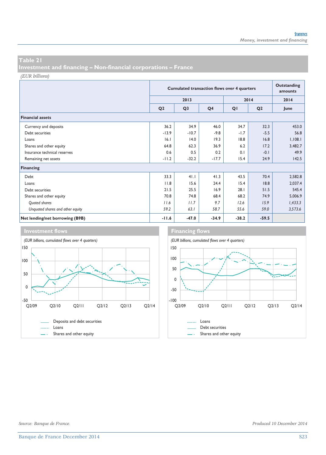**Investment and financing – Non-financial corporations – France** 

*(EUR billions)*

|                                  |                | <b>Cumulated transaction flows over 4 quarters</b> | Outstanding<br>amounts |         |                |         |
|----------------------------------|----------------|----------------------------------------------------|------------------------|---------|----------------|---------|
|                                  |                | 2013                                               |                        |         | 2014           | 2014    |
|                                  | Q <sub>2</sub> | Q <sub>3</sub>                                     | Q <sub>4</sub>         | QI      | Q <sub>2</sub> | June    |
| <b>Financial assets</b>          |                |                                                    |                        |         |                |         |
| Currency and deposits            | 36.2           | 34.9                                               | 46.0                   | 34.7    | 32.3           | 453.0   |
| Debt securities                  | $-13.9$        | $-10.7$                                            | $-9.8$                 | $-1.7$  | $-5.5$         | 56.8    |
| Loans                            | 16.1           | 14.0                                               | 19.3                   | 18.8    | 16.8           | 1,108.1 |
| Shares and other equity          | 64.8           | 62.3                                               | 36.9                   | 6.2     | 17.2           | 3,482.7 |
| Insurance technical reserves     | 0.6            | 0.5                                                | 0.2                    | 0.1     | $-0.1$         | 49.9    |
| Remaining net assets             | $-11.2$        | $-32.2$                                            | $-17.7$                | 15.4    | 24.9           | 142.5   |
| Financing                        |                |                                                    |                        |         |                |         |
| Debt                             | 33.3           | 41.1                                               | 41.3                   | 43.5    | 70.4           | 2,582.8 |
| Loans                            | 11.8           | 15.6                                               | 24.4                   | 15.4    | 18.8           | 2,037.4 |
| Debt securities                  | 21.5           | 25.5                                               | 16.9                   | 28.1    | 51.5           | 545.4   |
| Shares and other equity          | 70.8           | 74.8                                               | 68.4                   | 68.2    | 74.9           | 5,006.9 |
| Quoted shares                    | 11.6           | 11.7                                               | 9.7                    | 12.6    | 15.9           | 1,433.3 |
| Unquoted shares and other equity | 59.2           | 63.1                                               | 58.7                   | 55.6    | 59.0           | 3,573.6 |
| Net lending/net borrowing (B9B)  | $-11.6$        | $-47.0$                                            | $-34.9$                | $-38.2$ | $-59.5$        |         |





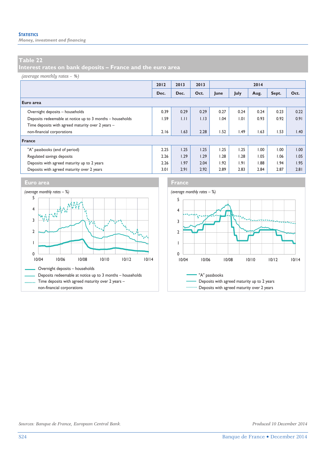*Money, investment and financing* 

### **Table 22**

**Interest rates on bank deposits – France and the euro area** 

#### *(average monthly rates – %)*

|                                                           | 2012 | 2013 | 2013 | 2014 |      |      |       |      |
|-----------------------------------------------------------|------|------|------|------|------|------|-------|------|
|                                                           | Dec. | Dec. | Oct. | June | July | Aug. | Sept. | Oct. |
| Euro area                                                 |      |      |      |      |      |      |       |      |
| Overnight deposits - households                           | 0.39 | 0.29 | 0.29 | 0.27 | 0.24 | 0.24 | 0.23  | 0.22 |
| Deposits redeemable at notice up to 3 months - households | 1.59 | 1.11 | 1.13 | 1.04 | 1.01 | 0.93 | 0.92  | 0.91 |
| Time deposits with agreed maturity over 2 years -         |      |      |      |      |      |      |       |      |
| non-financial corporations                                | 2.16 | 1.63 | 2.28 | 1.52 | 1.49 | 1.63 | 1.53  | 1.40 |
| France                                                    |      |      |      |      |      |      |       |      |
| "A" passbooks (end of period)                             | 2.25 | 1.25 | 1.25 | 1.25 | 1.25 | 00.1 | 1.00  | 00.1 |
| Regulated savings deposits                                | 2.26 | 1.29 | 1.29 | 1.28 | 1.28 | 1.05 | 1.06  | 1.05 |
| Deposits with agreed maturity up to 2 years               | 2.26 | 1.97 | 2.04 | 1.92 | 1.91 | 1.88 | 1.94  | 1.95 |
| Deposits with agreed maturity over 2 years                | 3.01 | 2.91 | 2.92 | 2.89 | 2.83 | 2.84 | 2.87  | 2.81 |









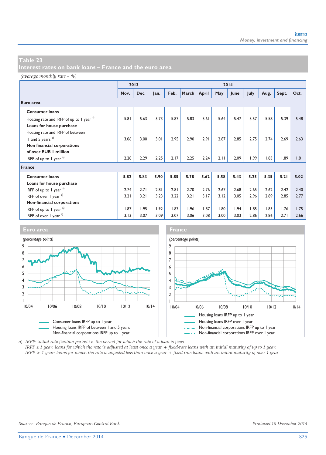*(average monthly rate – %)*

|                                                      |      | 2013 |      |      |       |       |      | 2014 |      |      |       |      |
|------------------------------------------------------|------|------|------|------|-------|-------|------|------|------|------|-------|------|
|                                                      | Nov. | Dec. | Jan. | Feb. | March | April | May  | June | July | Aug. | Sept. | Oct. |
| Euro area                                            |      |      |      |      |       |       |      |      |      |      |       |      |
| <b>Consumer loans</b>                                |      |      |      |      |       |       |      |      |      |      |       |      |
| Floating rate and IRFP of up to 1 year <sup>a)</sup> | 5.81 | 5.63 | 5.73 | 5.87 | 5.83  | 5.61  | 5.64 | 5.47 | 5.57 | 5.58 | 5.39  | 5.48 |
| Loans for house purchase                             |      |      |      |      |       |       |      |      |      |      |       |      |
| Floating rate and IRFP of between                    |      |      |      |      |       |       |      |      |      |      |       |      |
| 1 and 5 years $a^{(1)}$                              | 3.06 | 3.00 | 3.01 | 2.95 | 2.90  | 2.91  | 2.87 | 2.85 | 2.75 | 2.74 | 2.69  | 2.63 |
| Non financial corporations                           |      |      |      |      |       |       |      |      |      |      |       |      |
| of over EUR   million                                |      |      |      |      |       |       |      |      |      |      |       |      |
| IRFP of up to 1 year $a$ )                           | 2.28 | 2.29 | 2.25 | 2.17 | 2.25  | 2.24  | 2.11 | 2.09 | 1.99 | 1.83 | 1.89  | 1.81 |
| France                                               |      |      |      |      |       |       |      |      |      |      |       |      |
| <b>Consumer loans</b>                                | 5.82 | 5.83 | 5.90 | 5.85 | 5.78  | 5.62  | 5.58 | 5.43 | 5.25 | 5.35 | 5.21  | 5.02 |
| Loans for house purchase                             |      |      |      |      |       |       |      |      |      |      |       |      |
| IRFP of up to 1 year $a^{(1)}$                       | 2.74 | 2.71 | 2.81 | 2.81 | 2.70  | 2.76  | 2.67 | 2.68 | 2.65 | 2.62 | 2.42  | 2.40 |
| IRFP of over $1$ year $a$ )                          | 3.21 | 3.21 | 3.23 | 3.22 | 3.21  | 3.17  | 3.12 | 3.05 | 2.96 | 2.89 | 2.85  | 2.77 |
| Non-financial corporations                           |      |      |      |      |       |       |      |      |      |      |       |      |
| IRFP of up to 1 year $a^{(1)}$                       | 1.87 | 1.95 | 1.92 | 1.87 | 1.96  | 1.87  | 1.80 | 1.94 | 1.85 | 1.83 | 1.76  | 1.75 |
| IRFP of over $1$ year $a$ <sup>)</sup>               | 3.13 | 3.07 | 3.09 | 3.07 | 3.06  | 3.08  | 3.00 | 3.03 | 2.86 | 2.86 | 2.71  | 2.66 |



*a) IRFP: initial rate fixation period i.e. the period for which the rate of a loan is fixed.* 

*IRFP ≤ 1 year: loans for which the rate is adjusted at least once a year + fixed-rate loans with an initial maturity of up to 1 year. IRFP > 1 year: loans for which the rate is adjusted less than once a year + fixed-rate loans with an initial maturity of over 1 year.*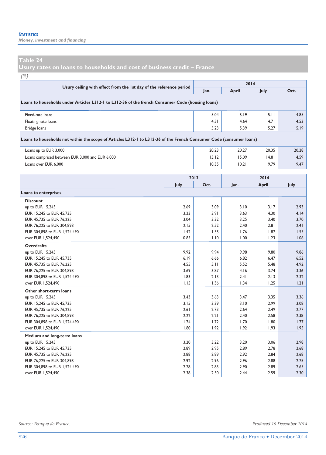*Money, investment and financing* 

#### **Table 24**

**Usury rates on loans to households and cost of business credit – France** 

*(%)*

|                                                                                                                                              | 2014        |       |       |       |             |
|----------------------------------------------------------------------------------------------------------------------------------------------|-------------|-------|-------|-------|-------------|
| Usury ceiling with effect from the 1st day of the reference period                                                                           |             | Jan.  | April | July  | Oct.        |
| Loans to households under Articles L312-1 to L312-36 of the french Consumer Code (housing loans)                                             |             |       |       |       |             |
| Fixed-rate loans                                                                                                                             |             | 5.04  | 5.19  | 5.11  | 4.85        |
| Floating-rate loans                                                                                                                          |             | 4.51  | 4.64  | 4.71  | 4.53        |
| Bridge loans                                                                                                                                 |             | 5.23  | 5.39  | 5.27  | 5.19        |
| Loans to households not within the scope of Articles L312-1 to L312-36 of the French Consumer Code (consumer loans)<br>Loans up to EUR 3,000 |             | 20.23 | 20.27 | 20.35 | 20.28       |
| Loans comprised between EUR 3,000 and EUR 6,000                                                                                              |             | 15.12 | 15.09 | 14.81 | 14.59       |
| Loans over EUR 6,000                                                                                                                         |             | 10.35 | 10.21 | 9.79  | 9.47        |
|                                                                                                                                              |             | 2013  |       | 2014  |             |
|                                                                                                                                              | <b>July</b> | Oct.  | lan.  | April | <b>July</b> |
| Loans to enterprises                                                                                                                         |             |       |       |       |             |
| <b>Discount</b>                                                                                                                              |             |       |       |       |             |
| up to EUR 15,245                                                                                                                             | 2.69        | 3.09  | 3.10  | 3.17  | 2.93        |
| EUR 15,245 to EUR 45,735                                                                                                                     | 3.91        | 3.63  | 4.30  | 4.14  |             |
| ELID AR 73R $\leftrightarrow$ ELID 74 33R                                                                                                    | 2 M         | ר כפ  | つつに   | 2.40  | 2.70        |

| EUR 13,243 to EUR 43,733     | 3.Z3 | 3.71 | 3.O3 | 4.3V | 4.14 |
|------------------------------|------|------|------|------|------|
| EUR 45.735 to EUR 76.225     | 3.04 | 3.32 | 3.25 | 3.40 | 3.70 |
| EUR 76,225 to EUR 304,898    | 2.15 | 2.52 | 2.40 | 2.81 | 2.41 |
| EUR 304,898 to EUR 1,524,490 | 1.42 | 1.55 | 1.76 | 1.87 | 1.55 |
| over EUR 1,524,490           | 0.85 | 1.10 | 1.00 | 1.23 | 1.06 |
| <b>Overdrafts</b>            |      |      |      |      |      |
| up to EUR 15,245             | 9.92 | 9.94 | 9.98 | 9.80 | 9.86 |
| EUR 15,245 to EUR 45,735     | 6.19 | 6.66 | 6.82 | 6.47 | 6.52 |
| EUR 45.735 to EUR 76.225     | 4.55 | 5.11 | 5.52 | 5.48 | 4.92 |
| EUR 76,225 to EUR 304,898    | 3.69 | 3.87 | 4.16 | 3.74 | 3.36 |
| EUR 304,898 to EUR 1,524,490 | 1.83 | 2.13 | 2.41 | 2.13 | 2.32 |
| over EUR 1,524,490           | 1.15 | 1.36 | 1.34 | 1.25 | 1.21 |
| Other short-term loans       |      |      |      |      |      |
| up to EUR 15,245             | 3.43 | 3.63 | 3.47 | 3.35 | 3.36 |
| EUR 15,245 to EUR 45,735     | 3.15 | 3.39 | 3.10 | 2.99 | 3.08 |
| EUR 45,735 to EUR 76,225     | 2.61 | 2.73 | 2.64 | 2.49 | 2.77 |
| EUR 76,225 to EUR 304,898    | 2.22 | 2.21 | 2.40 | 2.58 | 2.38 |
| EUR 304,898 to EUR 1,524,490 | 1.74 | 1.72 | 1.70 | 1.80 | 1.77 |
| over EUR 1.524,490           | 1.80 | 1.92 | 1.92 | 1.93 | 1.95 |
| Medium and long-term loans   |      |      |      |      |      |
| up to EUR 15,245             | 3.20 | 3.22 | 3.20 | 3.06 | 2.98 |
| EUR 15,245 to EUR 45,735     | 2.89 | 2.95 | 2.89 | 2.78 | 2.68 |
| EUR 45,735 to EUR 76,225     | 2.88 | 2.89 | 2.92 | 2.84 | 2.68 |
| EUR 76,225 to EUR 304,898    | 2.92 | 2.96 | 2.96 | 2.88 | 2.75 |
| EUR 304,898 to EUR 1,524,490 | 2.78 | 2.83 | 2.90 | 2.89 | 2.65 |
| over EUR 1.524,490           | 2.38 | 2.50 | 2.44 | 2.59 | 2.30 |
|                              |      |      |      |      |      |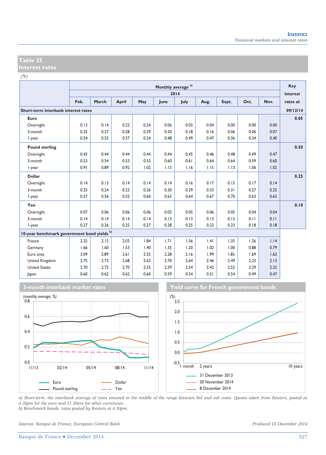| Ξ<br><b>SALE</b> |  |  |
|------------------|--|--|

|                                             |      | Monthly average <sup>a)</sup><br>2014 |       |      |      |      |      |       |      |      | <b>Key</b> |
|---------------------------------------------|------|---------------------------------------|-------|------|------|------|------|-------|------|------|------------|
|                                             | Feb. | March                                 |       |      |      |      |      |       | Oct. | Nov. | interest   |
|                                             |      |                                       | April | May  | June | July | Aug. | Sept. |      |      | rates at   |
| Short-term interbank interest rates         |      |                                       |       |      |      |      |      |       |      |      | 09/12/14   |
| Euro                                        |      |                                       |       |      |      |      |      |       |      |      | 0.05       |
| Overnight                                   | 0.13 | 0.14                                  | 0.22  | 0.24 | 0.06 | 0.02 | 0.04 | 0.00  | 0.00 | 0.00 |            |
| 3-month                                     | 0.25 | 0.27                                  | 0.28  | 0.29 | 0.20 | 0.18 | 0.16 | 0.06  | 0.06 | 0.07 |            |
| I-year                                      | 0.54 | 0.55                                  | 0.57  | 0.54 | 0.48 | 0.49 | 0.47 | 0.36  | 0.34 | 0.40 |            |
| <b>Pound sterling</b>                       |      |                                       |       |      |      |      |      |       |      |      | 0.50       |
| Overnight                                   | 0.45 | 0.44                                  | 0.44  | 0.44 | 0.44 | 0.45 | 0.46 | 0.48  | 0.49 | 0.47 |            |
| 3-month                                     | 0.53 | 0.54                                  | 0.53  | 0.55 | 0.60 | 0.61 | 0.64 | 0.64  | 0.59 | 0.60 |            |
| I-year                                      | 0.91 | 0.89                                  | 0.92  | 1.02 | 1.13 | 1.16 | 1.15 | 1.13  | 1.06 | 1.02 |            |
| <b>Dollar</b>                               |      |                                       |       |      |      |      |      |       |      |      | 0.25       |
| Overnight                                   | 0.14 | 0.13                                  | 0.14  | 0.14 | 0.14 | 0.16 | 0.17 | 0.15  | 0.17 | 0.14 |            |
| 3-month                                     | 0.25 | 0.24                                  | 0.23  | 0.26 | 0.30 | 0.29 | 0.33 | 0.31  | 0.27 | 0.25 |            |
| I-year                                      | 0.57 | 0.56                                  | 0.55  | 0.60 | 0.63 | 0.64 | 0.67 | 0.70  | 0.63 | 0.63 |            |
| Yen                                         |      |                                       |       |      |      |      |      |       |      |      | 0.10       |
| Overnight                                   | 0.07 | 0.06                                  | 0.06  | 0.06 | 0.05 | 0.05 | 0.06 | 0.05  | 0.04 | 0.04 |            |
| 3-month                                     | 0.14 | 0.14                                  | 0.14  | 0.14 | 0.13 | 0.13 | 0.13 | 0.12  | 0.11 | 0.11 |            |
| I-year                                      | 0.27 | 0.26                                  | 0.25  | 0.27 | 0.28 | 0.25 | 0.22 | 0.23  | 0.18 | 0.18 |            |
| 10-year benchmark government bond yields b) |      |                                       |       |      |      |      |      |       |      |      |            |
| France                                      | 2.25 | 2.15                                  | 2.03  | 1.84 | 1.71 | 1.56 | .4   | 1.35  | 1.26 | 1.14 |            |
| Germany                                     | 1.66 | 1.60                                  | 1.53  | 1.40 | 1.35 | 1.20 | 1.02 | 1.00  | 0.88 | 0.79 |            |
| Euro area                                   | 3.09 | 2.89                                  | 2.61  | 2.55 | 2.28 | 2.16 | 1.99 | 1.85  | 1.69 | 1.62 |            |
| United Kingdom                              | 2.75 | 2.73                                  | 2.68  | 2.63 | 2.70 | 2.64 | 2.46 | 2.49  | 2.23 | 2.13 |            |
| <b>United States</b>                        | 2.70 | 2.72                                  | 2.70  | 2.55 | 2.59 | 2.54 | 2.42 | 2.52  | 2.29 | 2.32 |            |
| Japan                                       | 0.60 | 0.62                                  | 0.62  | 0.60 | 0.59 | 0.54 | 0.51 | 0.54  | 0.49 | 0.47 |            |





*a) Short-term: the interbank average of rates situated in the middle of the range between bid and ask rates. Quotes taken from Reuters, posted at 4.30pm for the euro and 11.30am for other currencies. b) Benchmark bonds: rates posted by Reuters at 4.30pm.* 

*Sources: Banque de France, European Central Bank. Produced 10 December 2014*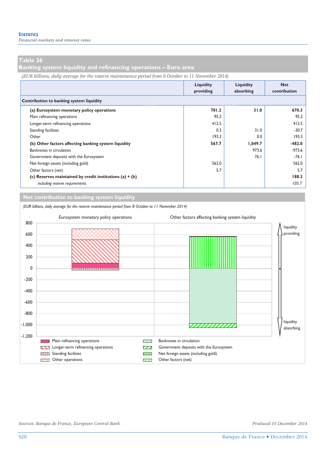**Banking system liquidity and refinancing operations – Euro area** 

*(EUR billions, daily average for the reserve maintenance period from 8 October to 11 November 2014)*

|                                                            | Liquidity<br>providing | Liquidity<br>absorbing | <b>Net</b><br>contribution |  |  |  |  |  |  |  |
|------------------------------------------------------------|------------------------|------------------------|----------------------------|--|--|--|--|--|--|--|
| Contribution to banking system liquidity                   |                        |                        |                            |  |  |  |  |  |  |  |
| (a) Eurosystem monetary policy operations                  | 701.2                  | 31.0                   | 670.3                      |  |  |  |  |  |  |  |
| Main refinancing operations                                | 95.2                   |                        | 95.2                       |  |  |  |  |  |  |  |
| Longer-term refinancing operations                         | 412.5                  |                        | 412.5                      |  |  |  |  |  |  |  |
| <b>Standing facilities</b>                                 | 0.3                    | 31.0                   | $-30.7$                    |  |  |  |  |  |  |  |
| Other                                                      | 193.3                  | 0.0                    | 193.3                      |  |  |  |  |  |  |  |
| (b) Other factors affecting banking system liquidity       | 567.7                  | 1,049.7                | $-482.0$                   |  |  |  |  |  |  |  |
| Banknotes in circulation                                   |                        | 973.6                  | $-973.6$                   |  |  |  |  |  |  |  |
| Government deposits with the Eurosystem                    |                        | 76.1                   | $-76.1$                    |  |  |  |  |  |  |  |
| Net foreign assets (including gold)                        | 562.0                  |                        | 562.0                      |  |  |  |  |  |  |  |
| Other factors (net)                                        | 5.7                    |                        | 5.7                        |  |  |  |  |  |  |  |
| (c) Reserves maintained by credit institutions (a) $+$ (b) |                        |                        | 188.3                      |  |  |  |  |  |  |  |
| including reserve requirements                             |                        |                        | 105.7                      |  |  |  |  |  |  |  |

#### **Net contribution to banking system liquidity**

*(EUR billions, daily average for the reserve maintenance period from 8 October to 11 November 2014)*

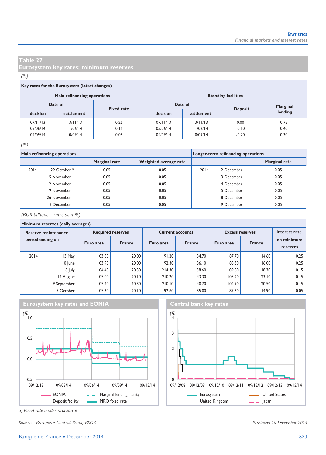**Eurosystem key rates; minimum reserves** 

#### *(%)*

#### **Key rates for the Eurosystem (latest changes)**

|          | Main refinancing operations  |      | <b>Standing facilities</b> |            |                |          |  |  |
|----------|------------------------------|------|----------------------------|------------|----------------|----------|--|--|
|          | Date of<br><b>Fixed rate</b> |      |                            | Date of    |                | Marginal |  |  |
| decision | settlement                   |      | decision                   | settlement | <b>Deposit</b> | lending  |  |  |
| 07/11/13 | 13/11/13                     | 0.25 | 07/11/13                   | 13/11/13   | 0.00           | 0.75     |  |  |
| 05/06/14 | 1/06/14                      | 0.15 | 05/06/14                   | 11/06/14   | $-0.10$        | 0.40     |  |  |
| 04/09/14 | 10/09/14                     | 0.05 | 04/09/14                   | 10/09/14   | $-0.20$        | 0.30     |  |  |

#### *(%)*

|      | Main refinancing operations |                      | Longer-term refinancing operations |      |            |                      |
|------|-----------------------------|----------------------|------------------------------------|------|------------|----------------------|
|      |                             | <b>Marginal rate</b> | Weighted average rate              |      |            | <b>Marginal rate</b> |
| 2014 | 29 October <sup>a)</sup>    | 0.05                 | 0.05                               | 2014 | 2 December | 0.05                 |
|      | 5 November                  | 0.05                 | 0.05                               |      | 3 December | 0.05                 |
|      | 12 November                 | 0.05                 | 0.05                               |      | 4 December | 0.05                 |
|      | 19 November                 | 0.05                 | 0.05                               |      | 5 December | 0.05                 |
|      | 26 November                 | 0.05                 | 0.05                               |      | 8 December | 0.05                 |
|      | 3 December                  | 0.05                 | 0.05                               |      | 9 December | 0.05                 |

*(EUR billions – rates as a %)*

#### **Minimum reserves (daily averages)**

| Reserve maintenance |             |           | <b>Required reserves</b> |           | <b>Current accounts</b> | <b>Excess reserves</b> | Interest rate |                        |  |
|---------------------|-------------|-----------|--------------------------|-----------|-------------------------|------------------------|---------------|------------------------|--|
| period ending on    |             | Euro area | <b>France</b>            | Euro area | <b>France</b>           | Euro area              | <b>France</b> | on minimum<br>reserves |  |
| 2014                | 13 May      | 103.50    | 20.00                    | 191.20    | 34.70                   | 87.70                  | 14.60         | 0.25                   |  |
|                     | 10 June     | 103.90    | 20.00                    | 192.30    | 36.10                   | 88.30                  | 16.00         | 0.25                   |  |
|                     | 8 July      | 104.40    | 20.30                    | 214.30    | 38.60                   | 109.80                 | 18.30         | 0.15                   |  |
|                     | 12 August   | 105.00    | 20.10                    | 210.20    | 43.30                   | 105.20                 | 23.10         | 0.15                   |  |
|                     | 9 September | 105.20    | 20.30                    | 210.10    | 40.70                   | 104.90                 | 20.50         | 0.15                   |  |
|                     | 7 October   | 105.30    | 20.10                    | 192.60    | 35.00                   | 87.30                  | 14.90         | 0.05                   |  |







*Sources: European Central Bank, ESCB. Produced 10 December 2014* 

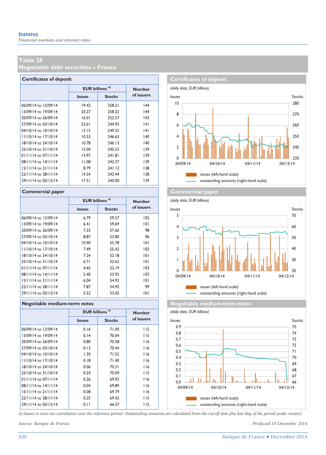**Negotiable debt securities – France** 

| <b>Certificates of deposit</b> |                                  |               |               |  |  |  |  |  |  |
|--------------------------------|----------------------------------|---------------|---------------|--|--|--|--|--|--|
|                                | <b>EUR billions<sup>a)</sup></b> |               | <b>Number</b> |  |  |  |  |  |  |
|                                | <b>Issues</b>                    | <b>Stocks</b> | of issuers    |  |  |  |  |  |  |
| 06/09/14 to 12/09/14           | 19.42                            | 258.51        | 44            |  |  |  |  |  |  |
| 13/09/14 to 19/09/14           | 20.27                            | 258.22        | 44            |  |  |  |  |  |  |
| 20/09/14 to 26/09/14           | 16.01                            | 252.57        | 43            |  |  |  |  |  |  |
| 27/09/14 to 03/10/14           | 22.61                            | 244.93        | 4             |  |  |  |  |  |  |
| 04/10/14 to 10/10/14           | 13.15                            | 249.32        | 4             |  |  |  |  |  |  |
| 11/10/14 to 17/10/14           | 10.53                            | 246.63        | 140           |  |  |  |  |  |  |
| 18/10/14 to 24/10/14           | 10.78                            | 246.13        | 140           |  |  |  |  |  |  |
| 25/10/14 to 31/10/14           | 15.04                            | 245.53        | 139           |  |  |  |  |  |  |
| $01/11/14$ to $07/11/14$       | 14.97                            | 241.81        | 139           |  |  |  |  |  |  |
| 08/11/14 to 14/11/14           | 11.08                            | 242.37        | 139           |  |  |  |  |  |  |
| 15/11/14 to 21/11/14           | 8.79                             | 241.12        | 138           |  |  |  |  |  |  |
| 22/11/14 to 28/11/14           | 14.34                            | 242.44        | 138           |  |  |  |  |  |  |
| 29/11/14 to 05/12/14           | 17.51                            | 240.00        | 139           |  |  |  |  |  |  |

|                          | EUR billions <sup>a)</sup> |               | <b>Number</b> |
|--------------------------|----------------------------|---------------|---------------|
|                          | <b>Issues</b>              | <b>Stocks</b> | of issuers    |
| 06/09/14 to 12/09/14     | 6.79                       | 59.27         | 102           |
| 13/09/14 to 19/09/14     | 6.41                       | 59.69         | 101           |
| 20/09/14 to 26/09/14     | 7.23                       | 57.60         | 98            |
| 27/09/14 to 03/10/14     | 8.87                       | 53.80         | 96            |
| 04/10/14 to 10/10/14     | 10.90                      | 55.78         | 101           |
| 11/10/14 to 17/10/14     | 7.49                       | 55.42         | 103           |
| 18/10/14 to 24/10/14     | 7.24                       | 52.18         | 101           |
| 25/10/14 to 31/10/14     | 6.71                       | 52.62         | 101           |
| 01/11/14 to 07/11/14     | 4.65                       | 52.19         | 103           |
| $08/11/14$ to $14/11/14$ | 5.40                       | 53.92         | 103           |
| 15/11/14 to 21/11/14     | 6.04                       | 54.93         | 101           |
| 22/11/14 to 28/11/14     | 7.87                       | 54.92         | 99            |
| 29/11/14 to 05/12/14     | 5.52                       | 53.05         | 101           |

#### **Regotiable medium-term notes Negotiable medium-term notes**

|                      | <b>EUR billions<sup>a)</sup></b> |               | <b>Number</b> |
|----------------------|----------------------------------|---------------|---------------|
|                      | <b>Issues</b>                    | <b>Stocks</b> | of issuers    |
| 06/09/14 to 12/09/14 | 0.16                             | 71.00         | 115           |
| 13/09/14 to 19/09/14 | 0.14                             | 70.04         | 115           |
| 20/09/14 to 26/09/14 | 0.80                             | 70.58         | 116           |
| 27/09/14 to 03/10/14 | 0.12                             | 70.44         | 116           |
| 04/10/14 to 10/10/14 | 1.30                             | 71.52         | 116           |
| 11/10/14 to 17/10/14 | 0.18                             | 71.40         | 116           |
| 18/10/14 to 24/10/14 | 0.06                             | 70.31         | 116           |
| 25/10/14 to 31/10/14 | 0.24                             | 70.09         | 115           |
| 01/11/14 to 07/11/14 | 0.26                             | 69.93         | 116           |
| 08/11/14 to 14/11/14 | 0.04                             | 69.89         | 116           |
| 15/11/14 to 21/11/14 | 0.08                             | 69.79         | 116           |
| 22/11/14 to 28/11/14 | 0.25                             | 69.42         | 115           |
| 29/11/14 to 05/12/14 | 0.11                             | 66.57         | <b>II5</b>    |
|                      |                                  |               |               |



#### **Commercial paper Commercial paper Commercial paper**

*(daily data, EUR billions)*







*a) Issues in euro are cumulative over the reference period. Outstanding amounts are calculated from the cut-off date (the last day of the period under review).*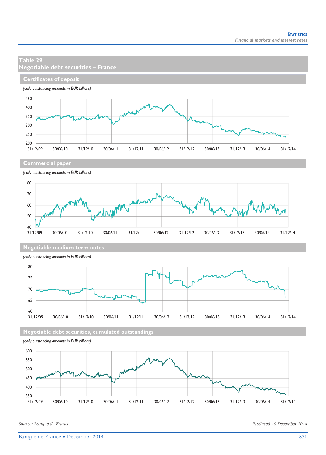### **Table 29 Negotiable debt securities – France Certificates of deposit** *(daily outstanding amounts in EUR billions)* 450 400 350 300 250  $\frac{200}{31/12/09}$ 31/12/09 30/06/10 31/12/10 30/06/11 31/12/11 30/06/12 31/12/12 30/06/13 31/12/13 30/06/14 31/12/14 **Commercial paper** *(daily outstanding amounts in EUR billions)* 80 70 **Unport** 60 50  $40$   $31/12/09$ 31/12/09 30/06/10 31/12/10 30/06/11 31/12/11 30/06/12 31/12/12 30/06/13 31/12/13 30/06/14 31/12/14 **Negotiable medium-term notes** *(daily outstanding amounts in EUR billions)* 80 75 70 65  $60$ <br> $31/12/09$ 31/12/09 30/06/10 31/12/10 30/06/11 31/12/11 30/06/12 31/12/12 30/06/13 31/12/13 30/06/14 31/12/14 **Negotiable debt securities, cumulated outstandings** *(daily outstanding amounts in EUR billions)* 600 550 500 450 400 350 31/12/09 30/06/10 31/12/10 30/06/11 31/12/11 30/06/12 31/12/12 30/06/13 31/12/13 30/06/14 31/12/14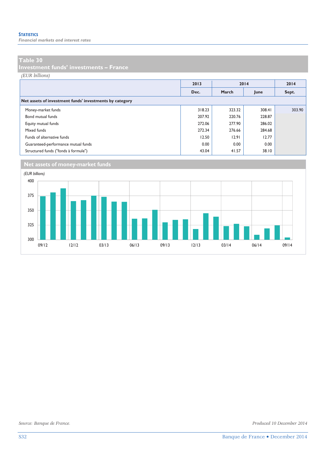*Financial markets and interest rates* 

#### **Table 30**

**Investment funds' investments – France** 

*(EUR billions)*

|                                                         | 2013   | 2014   |        | 2014   |
|---------------------------------------------------------|--------|--------|--------|--------|
|                                                         | Dec.   | March  | June   | Sept.  |
| Net assets of investment funds' investments by category |        |        |        |        |
| Money-market funds                                      | 318.23 | 323.32 | 308.41 | 303.90 |
| Bond mutual funds                                       | 207.92 | 220.76 | 228.87 |        |
| Equity mutual funds                                     | 272.06 | 277.90 | 286.02 |        |
| Mixed funds                                             | 272.34 | 276.66 | 284.68 |        |
| Funds of alternative funds                              | 12.50  | 12.91  | 12.77  |        |
| Guaranteed-performance mutual funds                     | 0.00   | 0.00   | 0.00   |        |
| Structured funds ("fonds à formule")                    | 43.04  | 41.57  | 38.10  |        |

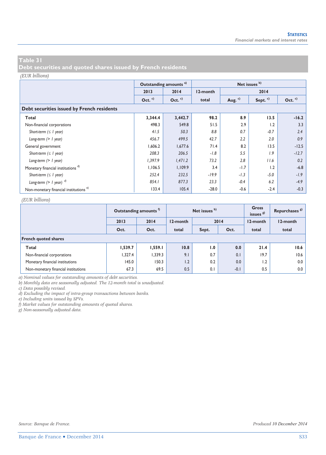**Debt securities and quoted shares issued by French residents** 

#### *(EUR billions)*

|                                                   |           | Outstanding amounts <sup>a)</sup> |          |                    | Net issues <sup>b)</sup> |          |  |  |  |  |  |  |
|---------------------------------------------------|-----------|-----------------------------------|----------|--------------------|--------------------------|----------|--|--|--|--|--|--|
|                                                   | 2013      | 2014                              | 12-month |                    | 2014                     |          |  |  |  |  |  |  |
|                                                   | Oct. $c)$ | Oct. $c)$                         | total    | Aug. <sup>c)</sup> | Sept. <sup>c)</sup>      | Oct. $c$ |  |  |  |  |  |  |
| Debt securities issued by French residents        |           |                                   |          |                    |                          |          |  |  |  |  |  |  |
| Total                                             | 3,344.4   | 3,442.7                           | 98.2     | 8.9                | 13.5                     | $-16.2$  |  |  |  |  |  |  |
| Non-financial corporations                        | 498.3     | 549.8                             | 51.5     | 2.9                | 1.2                      | 3.3      |  |  |  |  |  |  |
| Short-term $( \leq l$ year)                       | 41.5      | 50.3                              | 8.8      | 0.7                | $-0.7$                   | 2.4      |  |  |  |  |  |  |
| Long-term $(> 1$ year)                            | 456.7     | 499.5                             | 42.7     | 2.2                | 2.0                      | 0.9      |  |  |  |  |  |  |
| General government                                | 1,606.2   | 1,677.6                           | 71.4     | 8.2                | 13.5                     | $-12.5$  |  |  |  |  |  |  |
| Short-term $( \leq l$ year)                       | 208.3     | 206.5                             | $-1.8$   | 5.5                | 1.9                      | $-12.7$  |  |  |  |  |  |  |
| Long-term $(> 1$ year)                            | 1,397.9   | 1,471.2                           | 73.2     | 2.8                | 11.6                     | 0.2      |  |  |  |  |  |  |
| Monetary financial institutions <sup>d)</sup>     | 1,106.5   | 1,109.9                           | 3.4      | $-1.7$             | 1.2                      | $-6.8$   |  |  |  |  |  |  |
| Short-term $( \leq l$ year)                       | 252.4     | 232.5                             | $-19.9$  | $-1.3$             | $-5.0$                   | $-1.9$   |  |  |  |  |  |  |
| Long-term $(> 1$ year) $^{d)}$                    | 854.1     | 877.3                             | 23.3     | $-0.4$             | 6.2                      | $-4.9$   |  |  |  |  |  |  |
| Non-monetary financial institutions <sup>e)</sup> | 133.4     | 105.4                             | $-28.0$  | $-0.6$             | $-2.4$                   | $-0.3$   |  |  |  |  |  |  |

#### *(EUR billions)*

|                                     |         | Outstanding amounts <sup>1</sup> |          | Net issues b) | Gross<br>issues <sup>g)</sup> | Repurchases <sup>8)</sup> |          |  |  |  |  |
|-------------------------------------|---------|----------------------------------|----------|---------------|-------------------------------|---------------------------|----------|--|--|--|--|
|                                     | 2013    | 2014                             | 12-month |               | 2014                          | 12-month                  | 12-month |  |  |  |  |
|                                     | Oct.    | Oct.                             | total    | Sept.         | Oct.                          | total                     | total    |  |  |  |  |
| <b>French quoted shares</b>         |         |                                  |          |               |                               |                           |          |  |  |  |  |
| Total                               | 1,539.7 | 1,559.1                          | 10.8     | 1.0           | 0.0                           | 21.4                      | 10.6     |  |  |  |  |
| Non-financial corporations          | 1,327.4 | .339.3                           | 9.1      | 0.7           | 0.1                           | 19.7                      | 10.6     |  |  |  |  |
| Monetary financial institutions     | 145.0   | 150.3                            | 1.2      | 0.2           | 0.0                           | 1.2                       | 0.0      |  |  |  |  |
| Non-monetary financial institutions | 67.3    | 69.5                             | 0.5      | 0.1           | $-0.1$                        | 0.5                       | 0.0      |  |  |  |  |

*a) Nominal values for outstanding amounts of debt securities.* 

*b) Monthly data are seasonally adjusted. The 12-month total is unadjusted.* 

*c) Data possibly revised.* 

*d) Excluding the impact of intra-group transactions between banks.* 

*e) Including units issued by SPVs.* 

*f) Market values for outstanding amounts of quoted shares.* 

*g) Non-seasonally adjusted data.*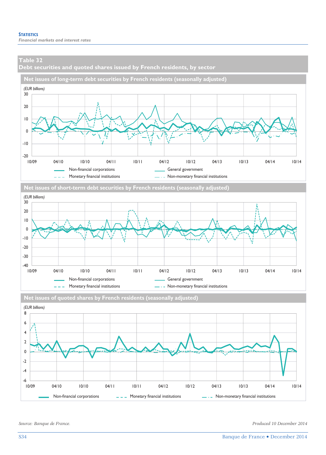**Debt securities and quoted shares issued by French residents, by sector** 







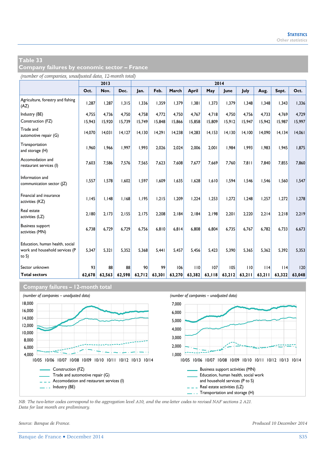**Company failures by economic sector – France** 

*(number of companies, unadjusted data, 12-month total)*

|                                                                               |        | 2013   |        |         |        |        |        |         | 2014    |        |        |         |        |
|-------------------------------------------------------------------------------|--------|--------|--------|---------|--------|--------|--------|---------|---------|--------|--------|---------|--------|
|                                                                               | Oct.   | Nov.   | Dec.   | Jan.    | Feb.   | March  | April  | May     | June    | July   | Aug.   | Sept.   | Oct.   |
| Agriculture, forestry and fishing<br>(AZ)                                     | 1,287  | 1.287  | 1.315  | 1,336   | 1.359  | 1.379  | 1.381  | 1,373   | 1.379   | 1.348  | 1.348  | 1,343   | 1,336  |
| Industry (BE)                                                                 | 4,755  | 4.736  | 4.750  | 4.758   | 4.772  | 4.750  | 4.767  | 4.718   | 4,750   | 4.756  | 4.733  | 4.769   | 4,729  |
| Construction (FZ)                                                             | 15,943 | 15,920 | 15,739 | 15,749  | 15,848 | 15,866 | 15,858 | 15,809  | 15,912  | 15,947 | 15,942 | 15,987  | 15,997 |
| Trade and<br>automotive repair (G)                                            | 14,070 | 14,031 | 14,127 | 14, 130 | 14,291 | 14,238 | 14.283 | 14, 153 | 14, 130 | 14,100 | 14,090 | 14, 134 | 14,061 |
| Transportation<br>and storage (H)                                             | 1.960  | 1.966  | 1.997  | 1.993   | 2.026  | 2.024  | 2.006  | 2.001   | 1.984   | 1.993  | 1.983  | 1.945   | 1.875  |
| Accomodation and<br>restaurant services (I)                                   | 7.603  | 7.586  | 7.576  | 7.565   | 7.623  | 7.608  | 7.677  | 7.669   | 7.760   | 7.811  | 7.840  | 7.855   | 7,860  |
| Information and<br>communication sector ( Z)                                  | 1,557  | 1,578  | 1.602  | 1.597   | 1.609  | 1.635  | 1,628  | 1.610   | 1.594   | 1.546  | 1.546  | 1,560   | 1,547  |
| Financial and insurance<br>activities (KZ)                                    | 1,145  | 1.148  | 1.168  | 1,195   | 1,215  | 1,209  | 1,224  | 1,253   | 1.272   | 1,248  | 1.257  | 1,272   | 1,278  |
| Real estate<br>activities (LZ)                                                | 2.180  | 2.173  | 2.155  | 2.175   | 2.208  | 2.184  | 2.184  | 2.198   | 2.201   | 2,220  | 2,214  | 2,218   | 2,219  |
| <b>Business support</b><br>activities (MN)                                    | 6.738  | 6.729  | 6.729  | 6.756   | 6.810  | 6.814  | 6.808  | 6.804   | 6.735   | 6.767  | 6.782  | 6.733   | 6.673  |
| Education, human health, social<br>work and household services (P<br>to $S$ ) | 5,347  | 5,321  | 5.352  | 5,368   | 5,441  | 5,457  | 5.456  | 5,423   | 5,390   | 5,365  | 5,362  | 5,392   | 5,353  |
| Sector unknown                                                                | 93     | 88     | 88     | 90      | 99     | 106    | 110    | 107     | 105     | 110    | 114    | 14      | 20     |
| <b>Total sectors</b>                                                          | 62,678 | 62.563 | 62,598 | 62,712  | 63,301 | 63,270 | 63,382 | 63,118  | 63,212  | 63,211 | 63,211 | 63,322  | 63,048 |

#### **Company failures – 12-month total**



*NB: The two-letter codes correspond to the aggregation level A10, and the one-letter codes to revised NAF sections 2 A21. Data for last month are preliminary.*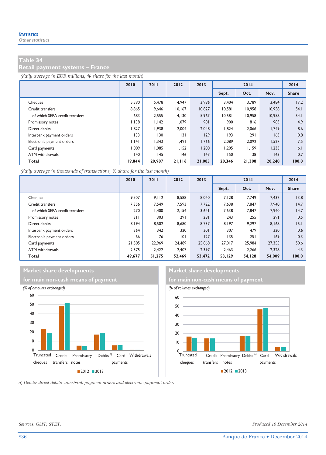**Retail payment systems – France** 

*(daily average in EUR millions, % share for the last month)*

|                                | 2010   | 2011   | 2012   | 2013   | 2014   |        |              | 2014         |
|--------------------------------|--------|--------|--------|--------|--------|--------|--------------|--------------|
|                                |        |        |        |        | Sept.  | Oct.   | Nov.         | <b>Share</b> |
| Cheques                        | 5,590  | 5,478  | 4,947  | 3.986  | 3.404  | 3.789  | 3,484        | 17.2         |
| Credit transfers               | 8,865  | 9,646  | 10,167 | 10,827 | 10.581 | 10.958 | 10,958       | 54.1         |
| of which SEPA credit transfers | 683    | 2.555  | 4.130  | 5.967  | 10.581 | 10.958 | 10.958       | 54.1         |
| Promissory notes               | 1.138  | 1.142  | 1,079  | 981    | 900    | 816    | 983          | 4.9          |
| Direct debits                  | 1,827  | 1,938  | 2,004  | 2,048  | 1,824  | 2,066  | 1,749        | 8.6          |
| Interbank payment orders       | 133    | 130    | 3      | 129    | 193    | 291    | 163          | 0.8          |
| Electronic payment orders      | 1.141  | 1.343  | 1.491  | 1,766  | 2.089  | 2.092  | 1,527        | 7.5          |
| Card payments                  | 1.009  | 1.085  | 1.152  | 1.200  | 1.205  | 1.159  | 1.233        | 6.1          |
| ATM withdrawals                | 140    | 145    | 146    | 147    | 150    | 138    | $ 43\rangle$ | 0.7          |
| Total                          | 19,844 | 20,907 | 21,116 | 21,085 | 20,346 | 21,308 | 20,240       | 100.0        |

*(daily average in thousands of transactions, % share for the last month)*

|                                | 2010   | 2011   | 2012   | 2013   | 2014   |        |        | 2014         |
|--------------------------------|--------|--------|--------|--------|--------|--------|--------|--------------|
|                                |        |        |        |        | Sept.  | Oct.   | Nov.   | <b>Share</b> |
| Cheques                        | 9.507  | 9.112  | 8,588  | 8,040  | 7.128  | 7.749  | 7.437  | 13.8         |
| Credit transfers               | 7,356  | 7.549  | 7.593  | 7.722  | 7.638  | 7.847  | 7,940  | 14.7         |
| of which SEPA credit transfers | 270    | 1.400  | 2.154  | 3.641  | 7.638  | 7.847  | 7,940  | 14.7         |
| Promissory notes               | 311    | 303    | 291    | 281    | 243    | 255    | 291    | 0.5          |
| Direct debits                  | 8.194  | 8.502  | 8,680  | 8.737  | 8.197  | 9.297  | 8.168  | 15.1         |
| Interbank payment orders       | 364    | 342    | 320    | 301    | 307    | 479    | 320    | 0.6          |
| Electronic payment orders      | 66     | 76     | 0      | 127    | 135    | 251    | 169    | 0.3          |
| Card payments                  | 21.505 | 22.969 | 24.489 | 25,868 | 27.017 | 25.984 | 27.355 | 50.6         |
| ATM withdrawals                | 2.375  | 2.422  | 2.407  | 2.397  | 2.463  | 2,266  | 2.328  | 4.3          |
| Total                          | 49.677 | 51,275 | 52.469 | 53,472 | 53,129 | 54,128 | 54,009 | 100.0        |

### **Market share developments** Market share developments





*a) Debits: direct debits, interbank payment orders and electronic payment orders.* 

*Sources: GSIT, STET. Produced 10 December 2014*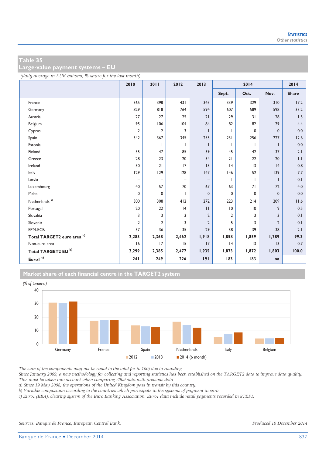**Large-value payment systems – EU** 

*(daily average in EUR billions, % share for the last month)*

|                                | 2010                     | 2011                     | 2012                     | 2013              | 2014            |             |                | 2014         |
|--------------------------------|--------------------------|--------------------------|--------------------------|-------------------|-----------------|-------------|----------------|--------------|
|                                |                          |                          |                          |                   | Sept.           | Oct.        | Nov.           | <b>Share</b> |
| France                         | 365                      | 398                      | 431                      | 343               | 339             | 329         | 310            | 17.2         |
| Germany                        | 829                      | 818                      | 764                      | 594               | 607             | 589         | 598            | 33.2         |
| Austria                        | 27                       | 27                       | 25                       | 21                | 29              | 31          | 28             | 1.5          |
| Belgium                        | 95                       | 106                      | 104                      | 84                | 82              | 82          | 79             | 4.4          |
| Cyprus                         | 2                        | 2                        | 3                        |                   |                 | $\mathbf 0$ | $\mathbf{0}$   | 0.0          |
| Spain                          | 342                      | 367                      | 345                      | 255               | 231             | 256         | 227            | 12.6         |
| Estonia                        | $\qquad \qquad -$        |                          | 1                        | ı                 | 1               | I.          | -1             | 0.0          |
| Finland                        | 35                       | 47                       | 85                       | 39                | 45              | 42          | 37             | 2.1          |
| Greece                         | 28                       | 23                       | 20                       | 34                | 21              | 22          | 20             | 1.1          |
| Ireland                        | 30                       | 21                       | 17                       | 15                | 4               | 3           | 4              | 0.8          |
| Italy                          | 129                      | 129                      | 128                      | 147               | 146             | 152         | 139            | 7.7          |
| Latvia                         | $\overline{\phantom{0}}$ | $\overline{\phantom{0}}$ | $\overline{\phantom{0}}$ | $\qquad \qquad -$ |                 | т           | -1             | 0.1          |
| Luxembourg                     | 40                       | 57                       | 70                       | 67                | 63              | 71          | 72             | 4.0          |
| Malta                          | 0                        | 0                        | T                        | 0                 | 0               | $\mathbf 0$ | $\mathbf{0}$   | 0.0          |
| Netherlands <sup>a)</sup>      | 300                      | 308                      | 412                      | 272               | 223             | 214         | 209            | 11.6         |
| Portugal                       | 20                       | 22                       | 4                        | $\mathbf{H}$      | $\overline{10}$ | 10          | 9              | 0.5          |
| Slovakia                       | 3                        | 3                        | 3                        | $\overline{2}$    | $\overline{2}$  | 3           | 3              | 0.1          |
| Slovenia                       | $\overline{2}$           | $\overline{2}$           | 3                        | $\overline{2}$    | 5               | 3           | $\overline{2}$ | 0.1          |
| EPM-ECB                        | 37                       | 36                       | 35                       | 29                | 38              | 39          | 38             | 2.1          |
| Total TARGET2 euro area b)     | 2,283                    | 2,368                    | 2,462                    | 1,918             | 1,858           | 1,859       | 1,789          | 99.3         |
| Non-euro area                  | 16                       | 17                       | 15                       | 17                | 4               | 3           | 3              | 0.7          |
| Total TARGET2 EU <sup>b)</sup> | 2,299                    | 2,385                    | 2,477                    | 1,935             | 1,873           | 1,872       | 1,803          | 100.0        |
| Eurol $\prescript{c)}{}$       | 241                      | 249                      | 226                      | 191               | 183             | 183         | na             |              |

**Market share of each financial centre in the TARGET2 system**



*The sum of the components may not be equal to the total (or to 100) due to rounding.* 

*Since January 2009, a new methodology for collecting and reporting statistics has been established on the TARGET2 data to improve data quality. This must be taken into account when comparing 2009 data with previous data.* 

*a) Since 19 May 2008, the operations of the United Kingdom pass in transit by this country.* 

*b) Variable composition according to the countries which participate in the systems of payment in euro.* 

*c) Euro1 (EBA): clearing system of the Euro Banking Association. Euro1 data include retail payments recorded in STEP1.*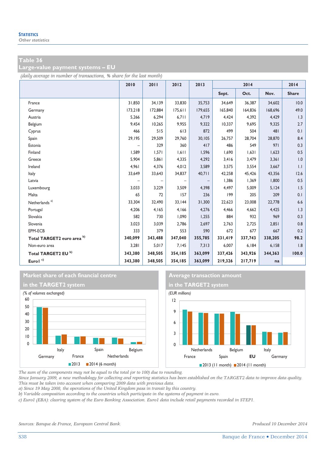**Large-value payment systems – EU** 

*(daily average in number of transactions, % share for the last month)*

|                                | 2010    | 2011    | 2012              | 2013    | 2014    |         |         | 2014         |
|--------------------------------|---------|---------|-------------------|---------|---------|---------|---------|--------------|
|                                |         |         |                   |         | Sept.   | Oct.    | Nov.    | <b>Share</b> |
| France                         | 31,850  | 34,139  | 33,830            | 35,753  | 34,649  | 36,387  | 34,602  | 10.0         |
| Germany                        | 173,218 | 172,884 | 175,611           | 179,655 | 165,840 | 164,836 | 168,696 | 49.0         |
| Austria                        | 5,266   | 6,294   | 6,711             | 4,719   | 4,424   | 4,392   | 4,429   | 1.3          |
| Belgium                        | 9,454   | 10,265  | 9,955             | 9,322   | 10,337  | 9,695   | 9,325   | 2.7          |
| Cyprus                         | 466     | 515     | 613               | 872     | 499     | 504     | 481     | 0.1          |
| Spain                          | 29,195  | 29,509  | 29,760            | 30,105  | 26,757  | 28,704  | 28,870  | 8.4          |
| Estonia                        |         | 329     | 360               | 417     | 486     | 549     | 971     | 0.3          |
| Finland                        | 1,589   | 1,571   | 1,611             | 1,596   | 1,690   | 1,631   | 1,623   | 0.5          |
| Greece                         | 5,904   | 5,861   | 4,335             | 4,292   | 3,416   | 3,479   | 3,361   | 1.0          |
| Ireland                        | 4,961   | 4,376   | 4,012             | 3,589   | 3,575   | 3,554   | 3,667   | $  \cdot  $  |
| Italy                          | 33,649  | 33,643  | 34,837            | 40,711  | 42,258  | 45,426  | 43,356  | 12.6         |
| Latvia                         |         |         | $\qquad \qquad -$ |         | 1,386   | 1,369   | 1,800   | 0.5          |
| Luxembourg                     | 3,033   | 3,229   | 3,509             | 4,398   | 4,497   | 5,009   | 5,124   | 1.5          |
| Malta                          | 65      | 72      | 157               | 236     | 199     | 205     | 209     | 0.1          |
| Netherlands <sup>a)</sup>      | 33,304  | 32,490  | 33,144            | 31,300  | 22,623  | 23,008  | 22,778  | 6.6          |
| Portugal                       | 4,206   | 4,165   | 4,166             | 4,276   | 4,466   | 4,662   | 4,425   | 1.3          |
| Slovakia                       | 582     | 730     | 1,090             | 1,255   | 884     | 932     | 969     | 0.3          |
| Slovenia                       | 3,023   | 3,039   | 2,786             | 2,697   | 2,763   | 2,725   | 2,851   | 0.8          |
| EPM-ECB                        | 333     | 379     | 553               | 590     | 672     | 677     | 667     | 0.2          |
| Total TARGET2 euro area b)     | 340,099 | 343,488 | 347,040           | 355,785 | 331,419 | 337,743 | 338,205 | 98.2         |
| Non-euro area                  | 3,281   | 5,017   | 7,145             | 7,313   | 6,007   | 6,184   | 6,158   | 1.8          |
| Total TARGET2 EU <sup>b)</sup> | 343,380 | 348,505 | 354,185           | 363,099 | 337,426 | 343,926 | 344,363 | 100.0        |
| Eurol <sup>c)</sup>            | 343,380 | 348,505 | 354,185           | 363,099 | 219,326 | 217,719 | na      |              |







*The sum of the components may not be equal to the total (or to 100) due to rounding.* 

*Since January 2009, a new methodology for collecting and reporting statistics has been established on the TARGET2 data to improve data quality. This must be taken into account when comparing 2009 data with previous data.* 

*a) Since 19 May 2008, the operations of the United Kingdom pass in transit by this country.* 

*b) Variable composition according to the countries which participate in the systems of payment in euro.* 

*c) Euro1 (EBA): clearing system of the Euro Banking Association. Euro1 data include retail payments recorded in STEP1.*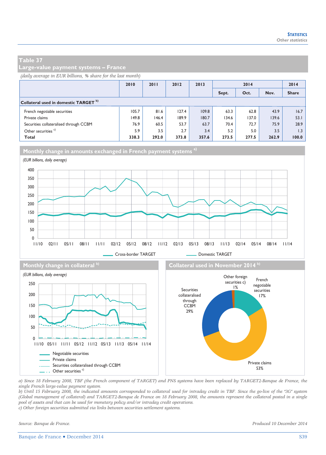**Large-value payment systems – France** 

#### *(daily average in EUR billions, % share for the last month)*

|                                                  | 2010  | 2011  | 2012  | 2013  | 2014  |       |       | 2014         |
|--------------------------------------------------|-------|-------|-------|-------|-------|-------|-------|--------------|
|                                                  |       |       |       |       | Sept. | Oct.  | Nov.  | <b>Share</b> |
| Collateral used in domestic TARGET <sup>b)</sup> |       |       |       |       |       |       |       |              |
| French negotiable securities                     | 105.7 | 81.6  | 127.4 | 109.8 | 63.3  | 62.8  | 43.9  | 16.7         |
| Private claims                                   | 149.8 | 146.4 | 189.9 | 180.7 | 134.6 | 137.0 | 139.6 | 53.1         |
| Securities collateralised through CCBM           | 76.9  | 60.5  | 53.7  | 63.7  | 70.4  | 72.7  | 75.9  | 28.9         |
| Other securities <sup>c)</sup>                   | 5.9   | 3.5   | 2.7   | 3.4   | 5.2   | 5.0   | 3.5   | 1.3          |
| <b>Total</b>                                     | 338.3 | 292.0 | 373.8 | 357.6 | 273.5 | 277.5 | 262.9 | 100.0        |





*a) Since 18 February 2008, TBF (the French component of TARGET) and PNS systems have been replaced by TARGET2-Banque de France, the single French large-value payment system.* 

*b) Until 15 February 2008, the indicated amounts corresponded to collateral used for intraday credit in TBF. Since the go-live of the "3G" system (Global management of collateral) and TARGET2-Banque de France on 18 February 2008, the amounts represent the collateral posted in a single pool of assets and that can be used for monetary policy and/or intraday credit operations.* 

*c) Other foreign securities submitted via links between securities settlement systems.*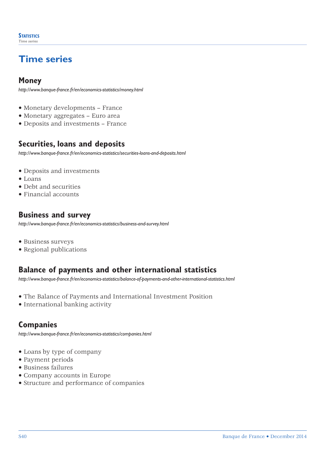# **Time series**

### **Money**

*http://www.banque-france.fr/en/economics-statistics/money.html*

- Monetary developments France
- Monetary aggregates Euro area
- Deposits and investments France

### **Securities, loans and deposits**

*http://www.banque-france.fr/en/economics-statistics/securities-loans-and-deposits.html*

- Deposits and investments
- Loans
- Debt and securities
- Financial accounts

### **Business and survey**

*http://www.banque-france.fr/en/economics-statistics/business-and-survey.html*

- Business surveys
- Regional publications

## **Balance of payments and other international statistics**

*<http://www.banque-france.fr/en/economics-statistics/balance-of-payments-and-other-international-statistics.html>*

- The Balance of Payments and International Investment Position
- International banking activity

### **Companies**

*http://www.banque-france.fr/en/economics-statistics/companies.html*

- Loans by type of company
- Payment periods
- Business failures
- Company accounts in Europe
- Structure and performance of companies